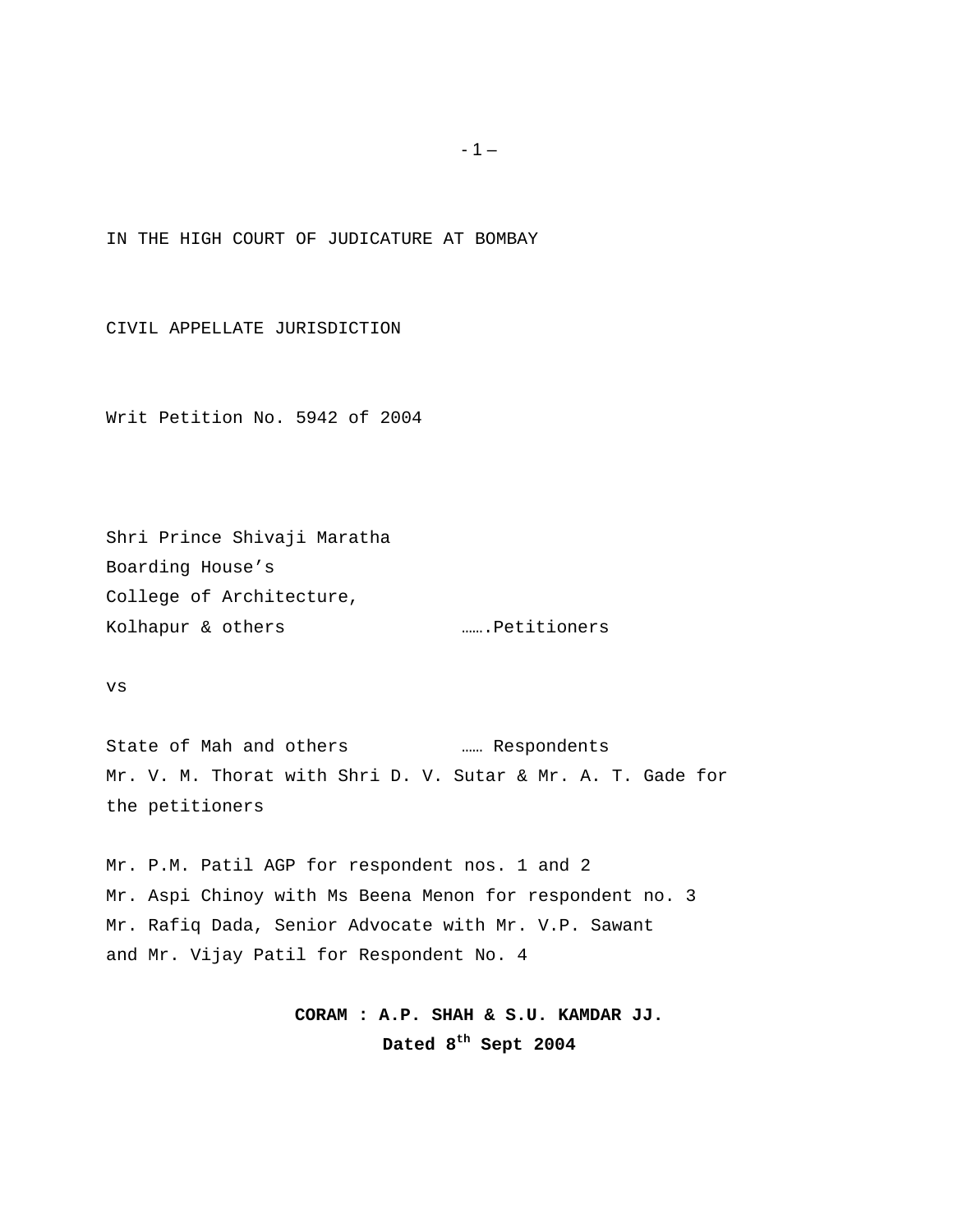IN THE HIGH COURT OF JUDICATURE AT BOMBAY

CIVIL APPELLATE JURISDICTION

Writ Petition No. 5942 of 2004

Shri Prince Shivaji Maratha Boarding House's College of Architecture, Kolhapur & others **1988** m.m.Petitioners

vs

State of Mah and others …… Respondents Mr. V. M. Thorat with Shri D. V. Sutar & Mr. A. T. Gade for the petitioners

Mr. P.M. Patil AGP for respondent nos. 1 and 2 Mr. Aspi Chinoy with Ms Beena Menon for respondent no. 3 Mr. Rafiq Dada, Senior Advocate with Mr. V.P. Sawant and Mr. Vijay Patil for Respondent No. 4

> **CORAM : A.P. SHAH & S.U. KAMDAR JJ. Dated 8th Sept 2004**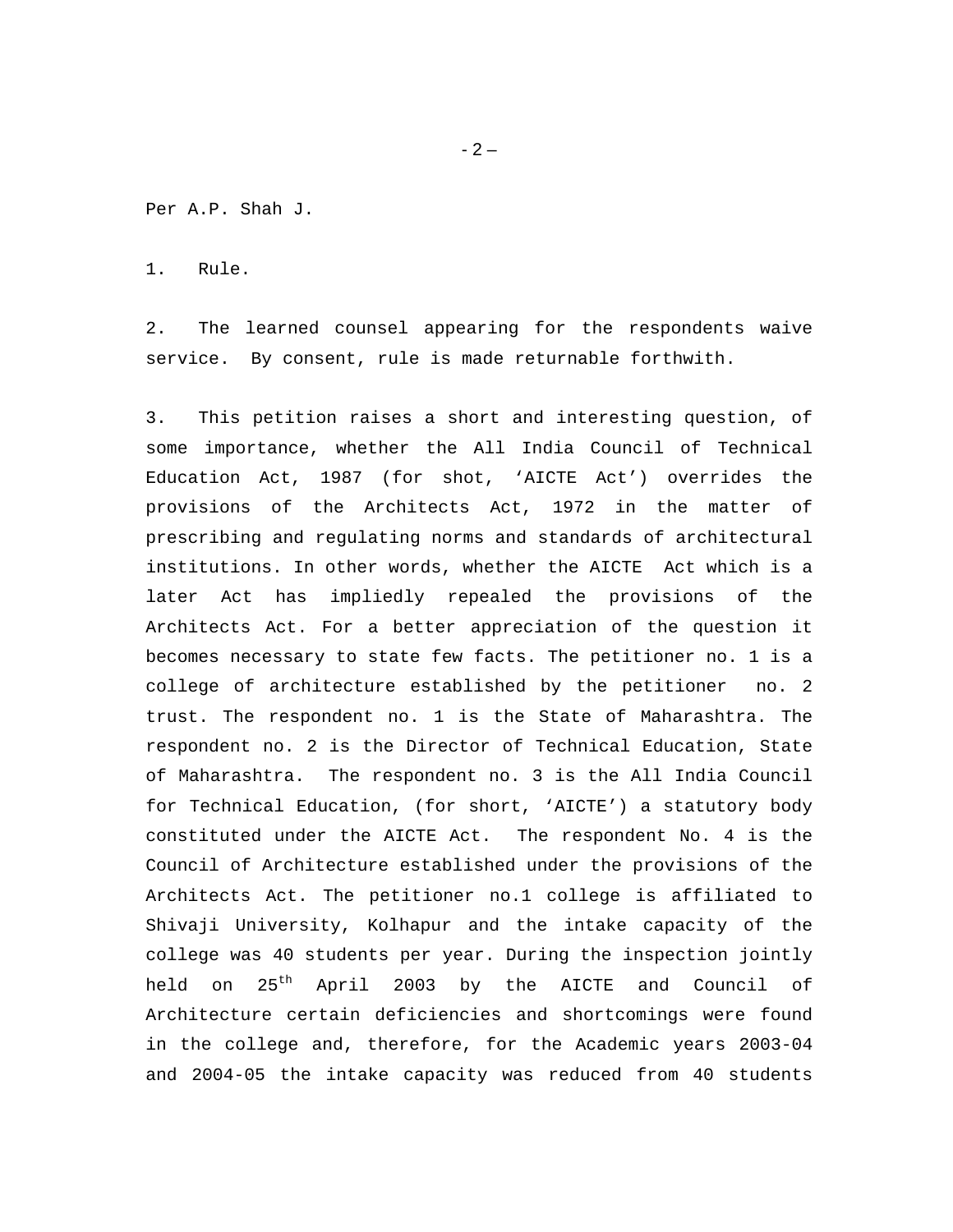Per A.P. Shah J.

1. Rule.

2. The learned counsel appearing for the respondents waive service. By consent, rule is made returnable forthwith.

3. This petition raises a short and interesting question, of some importance, whether the All India Council of Technical Education Act, 1987 (for shot, 'AICTE Act') overrides the provisions of the Architects Act, 1972 in the matter of prescribing and regulating norms and standards of architectural institutions. In other words, whether the AICTE Act which is a later Act has impliedly repealed the provisions of the Architects Act. For a better appreciation of the question it becomes necessary to state few facts. The petitioner no. 1 is a college of architecture established by the petitioner no. 2 trust. The respondent no. 1 is the State of Maharashtra. The respondent no. 2 is the Director of Technical Education, State of Maharashtra. The respondent no. 3 is the All India Council for Technical Education, (for short, 'AICTE') a statutory body constituted under the AICTE Act. The respondent No. 4 is the Council of Architecture established under the provisions of the Architects Act. The petitioner no.1 college is affiliated to Shivaji University, Kolhapur and the intake capacity of the college was 40 students per year. During the inspection jointly held on 25<sup>th</sup> April 2003 by the AICTE and Council of Architecture certain deficiencies and shortcomings were found in the college and, therefore, for the Academic years 2003-04 and 2004-05 the intake capacity was reduced from 40 students

 $-2-$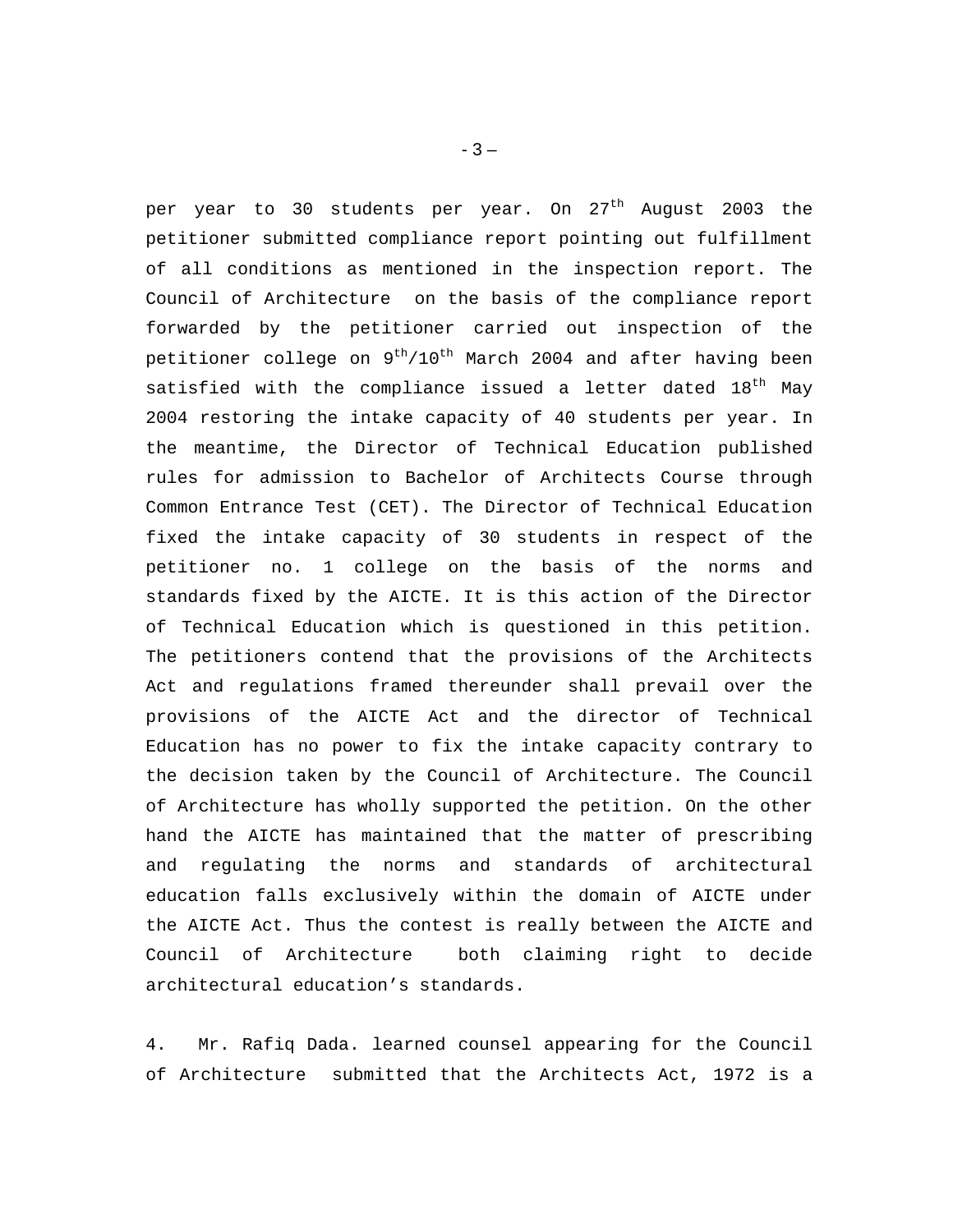per year to 30 students per year. On 27<sup>th</sup> August 2003 the petitioner submitted compliance report pointing out fulfillment of all conditions as mentioned in the inspection report. The Council of Architecture on the basis of the compliance report forwarded by the petitioner carried out inspection of the petitioner college on 9<sup>th</sup>/10<sup>th</sup> March 2004 and after having been satisfied with the compliance issued a letter dated  $18<sup>th</sup>$  May 2004 restoring the intake capacity of 40 students per year. In the meantime, the Director of Technical Education published rules for admission to Bachelor of Architects Course through Common Entrance Test (CET). The Director of Technical Education fixed the intake capacity of 30 students in respect of the petitioner no. 1 college on the basis of the norms and standards fixed by the AICTE. It is this action of the Director of Technical Education which is questioned in this petition. The petitioners contend that the provisions of the Architects Act and regulations framed thereunder shall prevail over the provisions of the AICTE Act and the director of Technical Education has no power to fix the intake capacity contrary to the decision taken by the Council of Architecture. The Council of Architecture has wholly supported the petition. On the other hand the AICTE has maintained that the matter of prescribing and regulating the norms and standards of architectural education falls exclusively within the domain of AICTE under the AICTE Act. Thus the contest is really between the AICTE and Council of Architecture both claiming right to decide architectural education's standards.

4. Mr. Rafiq Dada. learned counsel appearing for the Council of Architecture submitted that the Architects Act, 1972 is a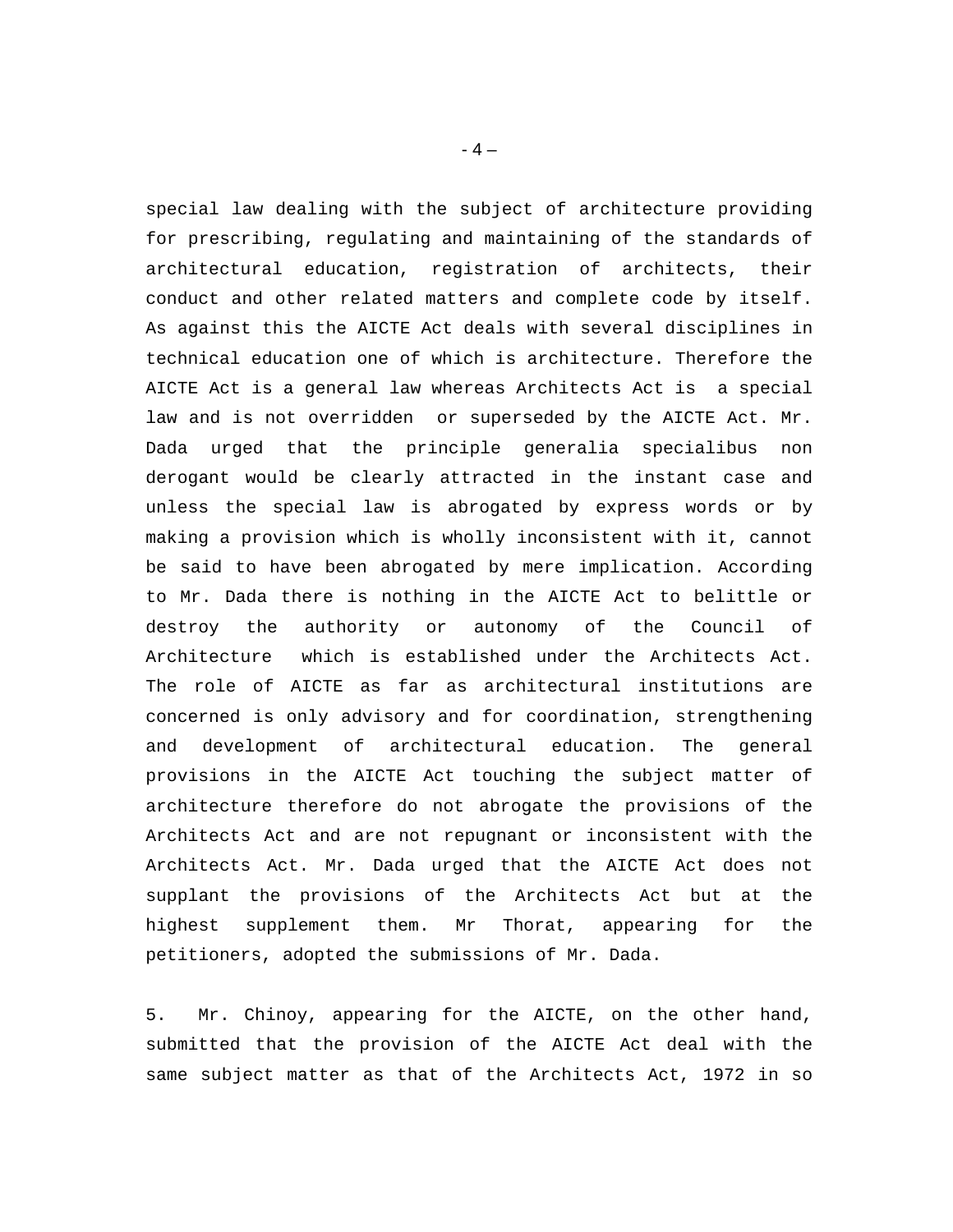special law dealing with the subject of architecture providing for prescribing, regulating and maintaining of the standards of architectural education, registration of architects, their conduct and other related matters and complete code by itself. As against this the AICTE Act deals with several disciplines in technical education one of which is architecture. Therefore the AICTE Act is a general law whereas Architects Act is a special law and is not overridden or superseded by the AICTE Act. Mr. Dada urged that the principle generalia specialibus non derogant would be clearly attracted in the instant case and unless the special law is abrogated by express words or by making a provision which is wholly inconsistent with it, cannot be said to have been abrogated by mere implication. According to Mr. Dada there is nothing in the AICTE Act to belittle or destroy the authority or autonomy of the Council of Architecture which is established under the Architects Act. The role of AICTE as far as architectural institutions are concerned is only advisory and for coordination, strengthening and development of architectural education. The general provisions in the AICTE Act touching the subject matter of architecture therefore do not abrogate the provisions of the Architects Act and are not repugnant or inconsistent with the Architects Act. Mr. Dada urged that the AICTE Act does not supplant the provisions of the Architects Act but at the highest supplement them. Mr Thorat, appearing for the petitioners, adopted the submissions of Mr. Dada.

5. Mr. Chinoy, appearing for the AICTE, on the other hand, submitted that the provision of the AICTE Act deal with the same subject matter as that of the Architects Act, 1972 in so

 $-4-$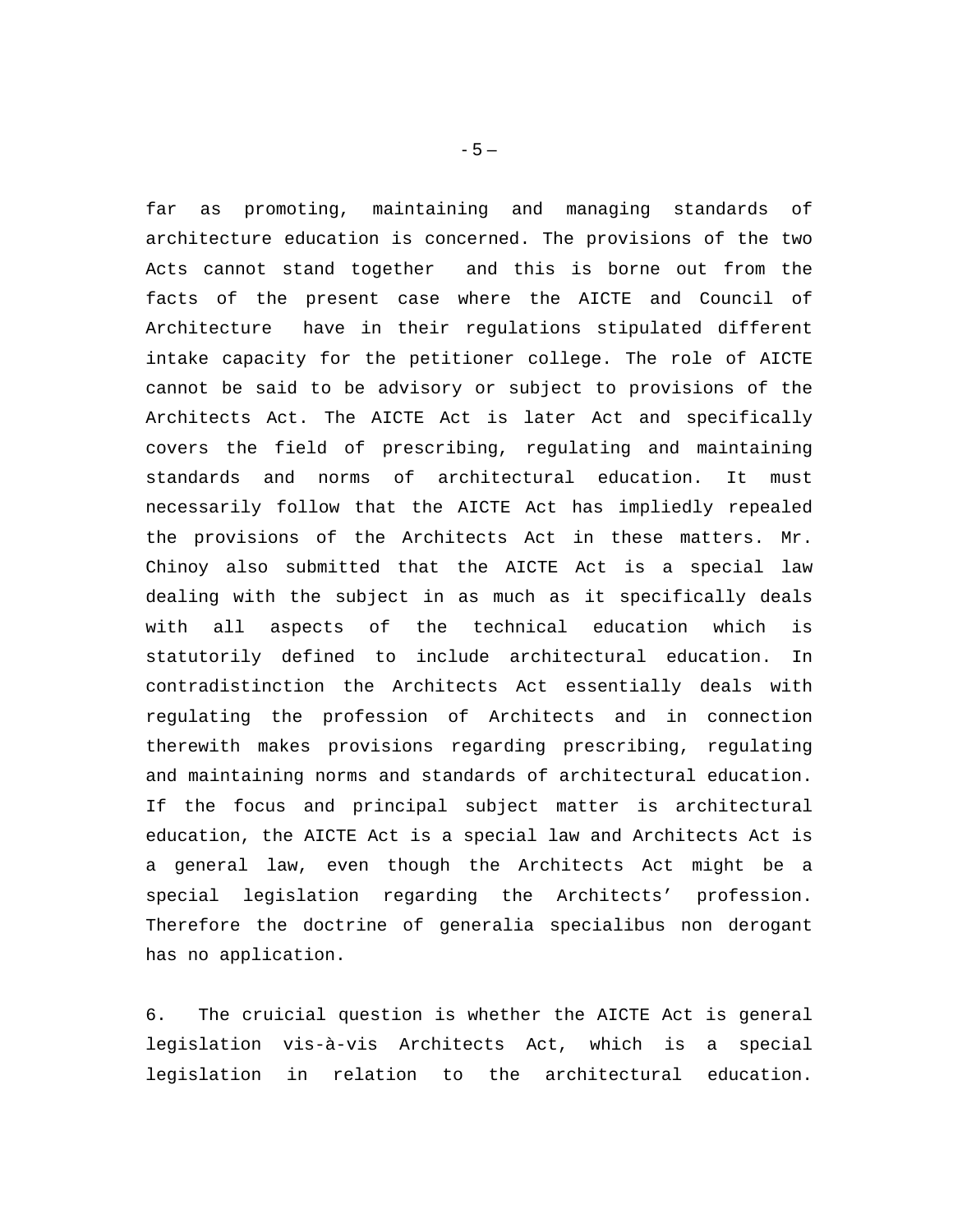far as promoting, maintaining and managing standards of architecture education is concerned. The provisions of the two Acts cannot stand together and this is borne out from the facts of the present case where the AICTE and Council of Architecture have in their regulations stipulated different intake capacity for the petitioner college. The role of AICTE cannot be said to be advisory or subject to provisions of the Architects Act. The AICTE Act is later Act and specifically covers the field of prescribing, regulating and maintaining standards and norms of architectural education. It must necessarily follow that the AICTE Act has impliedly repealed the provisions of the Architects Act in these matters. Mr. Chinoy also submitted that the AICTE Act is a special law dealing with the subject in as much as it specifically deals with all aspects of the technical education which is statutorily defined to include architectural education. In contradistinction the Architects Act essentially deals with regulating the profession of Architects and in connection therewith makes provisions regarding prescribing, regulating and maintaining norms and standards of architectural education. If the focus and principal subject matter is architectural education, the AICTE Act is a special law and Architects Act is a general law, even though the Architects Act might be a special legislation regarding the Architects' profession. Therefore the doctrine of generalia specialibus non derogant has no application.

6. The cruicial question is whether the AICTE Act is general legislation vis-à-vis Architects Act, which is a special legislation in relation to the architectural education.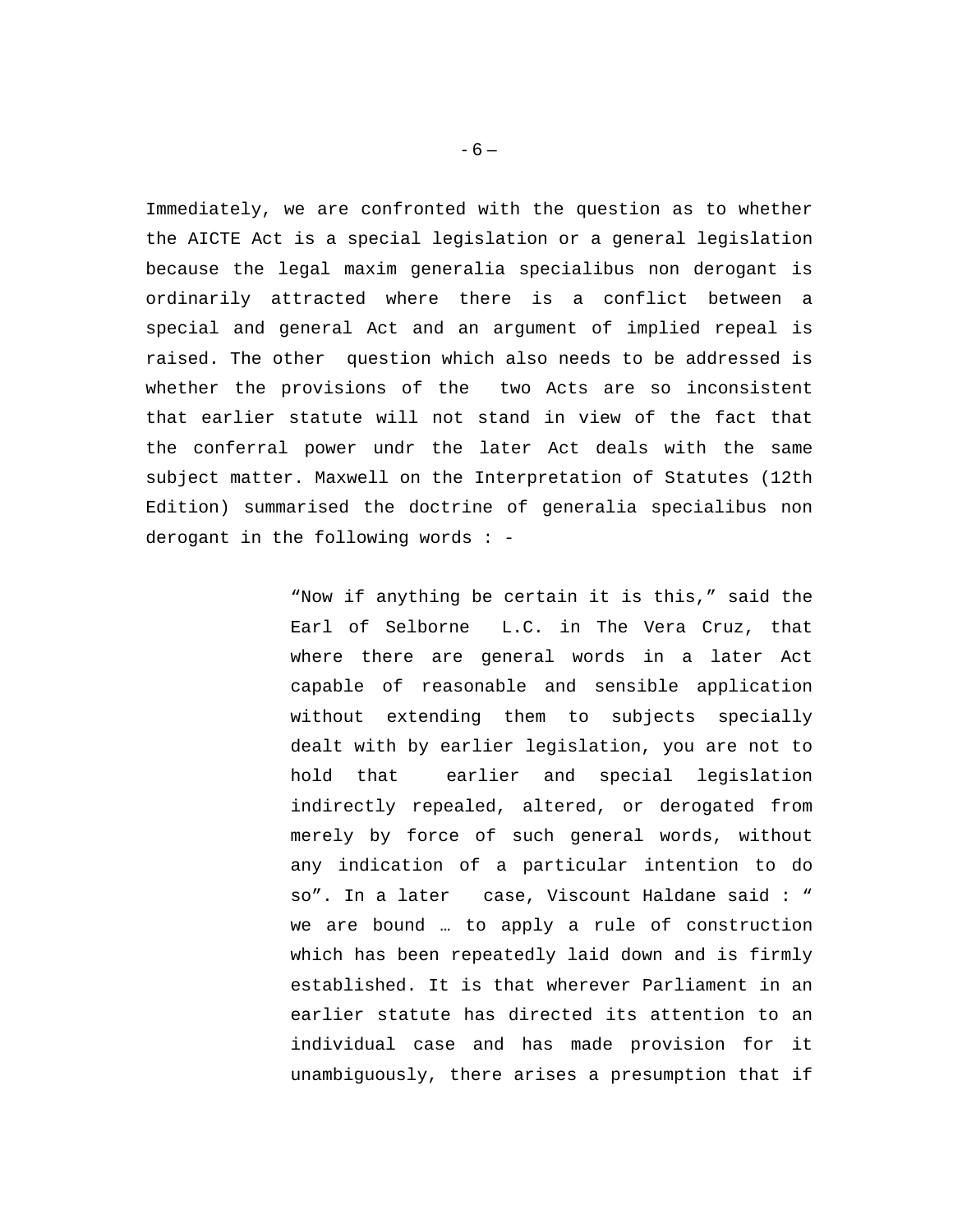Immediately, we are confronted with the question as to whether the AICTE Act is a special legislation or a general legislation because the legal maxim generalia specialibus non derogant is ordinarily attracted where there is a conflict between a special and general Act and an argument of implied repeal is raised. The other question which also needs to be addressed is whether the provisions of the two Acts are so inconsistent that earlier statute will not stand in view of the fact that the conferral power undr the later Act deals with the same subject matter. Maxwell on the Interpretation of Statutes (12th Edition) summarised the doctrine of generalia specialibus non derogant in the following words : -

> "Now if anything be certain it is this," said the Earl of Selborne L.C. in The Vera Cruz, that where there are general words in a later Act capable of reasonable and sensible application without extending them to subjects specially dealt with by earlier legislation, you are not to hold that earlier and special legislation indirectly repealed, altered, or derogated from merely by force of such general words, without any indication of a particular intention to do so". In a later case, Viscount Haldane said : " we are bound … to apply a rule of construction which has been repeatedly laid down and is firmly established. It is that wherever Parliament in an earlier statute has directed its attention to an individual case and has made provision for it unambiguously, there arises a presumption that if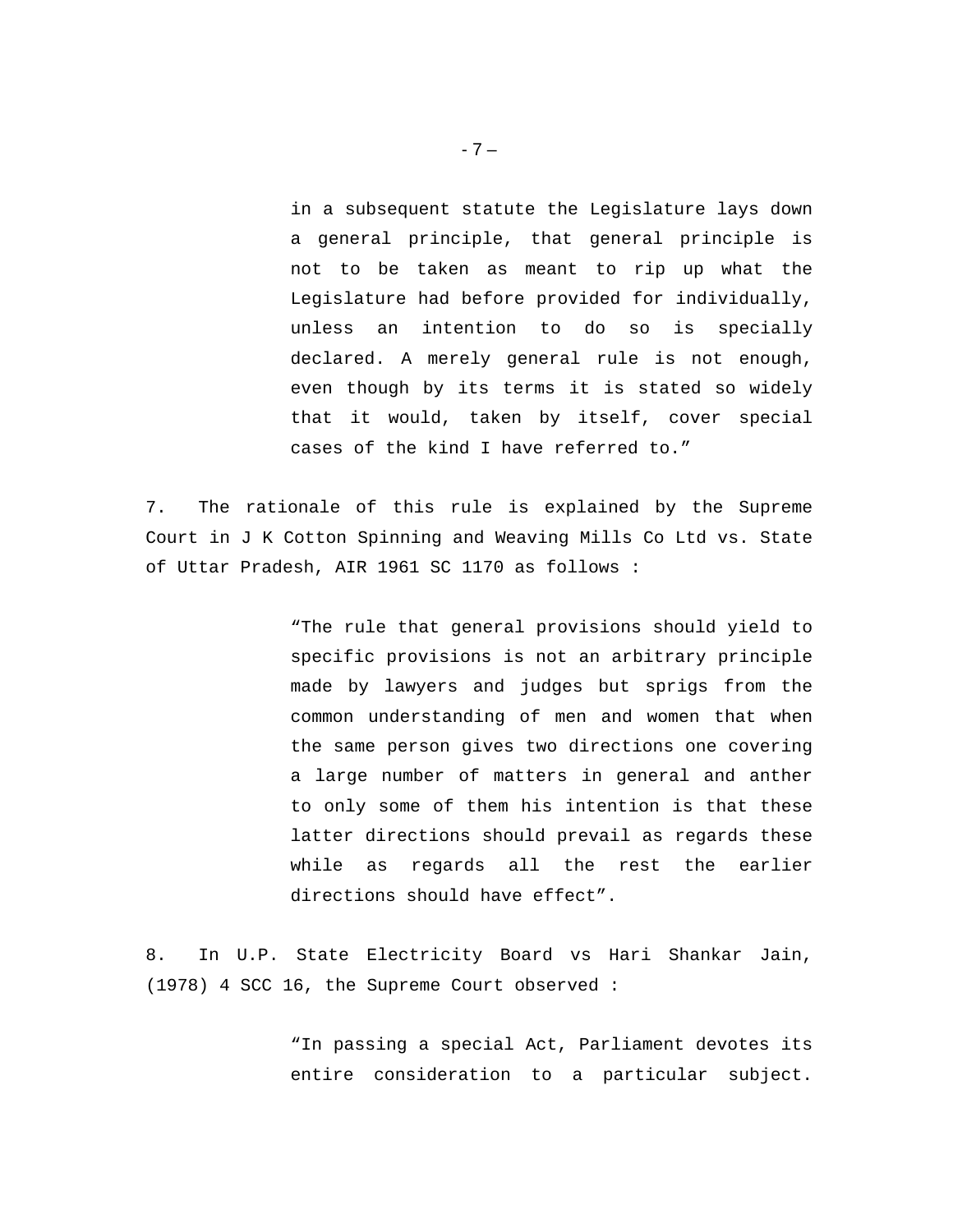in a subsequent statute the Legislature lays down a general principle, that general principle is not to be taken as meant to rip up what the Legislature had before provided for individually, unless an intention to do so is specially declared. A merely general rule is not enough, even though by its terms it is stated so widely that it would, taken by itself, cover special cases of the kind I have referred to."

7. The rationale of this rule is explained by the Supreme Court in J K Cotton Spinning and Weaving Mills Co Ltd vs. State of Uttar Pradesh, AIR 1961 SC 1170 as follows :

> "The rule that general provisions should yield to specific provisions is not an arbitrary principle made by lawyers and judges but sprigs from the common understanding of men and women that when the same person gives two directions one covering a large number of matters in general and anther to only some of them his intention is that these latter directions should prevail as regards these while as regards all the rest the earlier directions should have effect".

8. In U.P. State Electricity Board vs Hari Shankar Jain, (1978) 4 SCC 16, the Supreme Court observed :

> "In passing a special Act, Parliament devotes its entire consideration to a particular subject.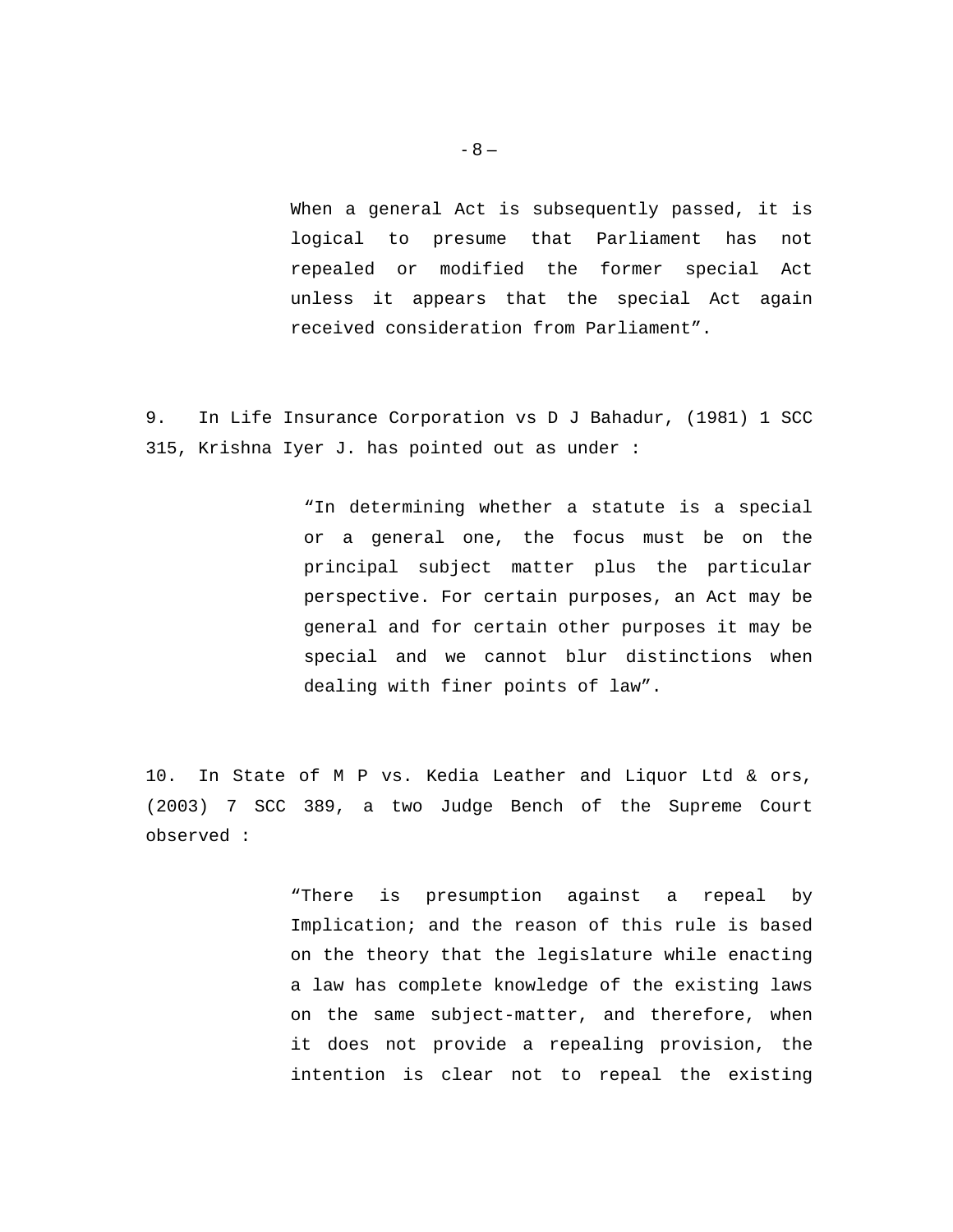When a general Act is subsequently passed, it is logical to presume that Parliament has not repealed or modified the former special Act unless it appears that the special Act again received consideration from Parliament".

9. In Life Insurance Corporation vs D J Bahadur, (1981) 1 SCC 315, Krishna Iyer J. has pointed out as under :

> "In determining whether a statute is a special or a general one, the focus must be on the principal subject matter plus the particular perspective. For certain purposes, an Act may be general and for certain other purposes it may be special and we cannot blur distinctions when dealing with finer points of law".

10. In State of M P vs. Kedia Leather and Liquor Ltd & ors, (2003) 7 SCC 389, a two Judge Bench of the Supreme Court observed :

> "There is presumption against a repeal by Implication; and the reason of this rule is based on the theory that the legislature while enacting a law has complete knowledge of the existing laws on the same subject-matter, and therefore, when it does not provide a repealing provision, the intention is clear not to repeal the existing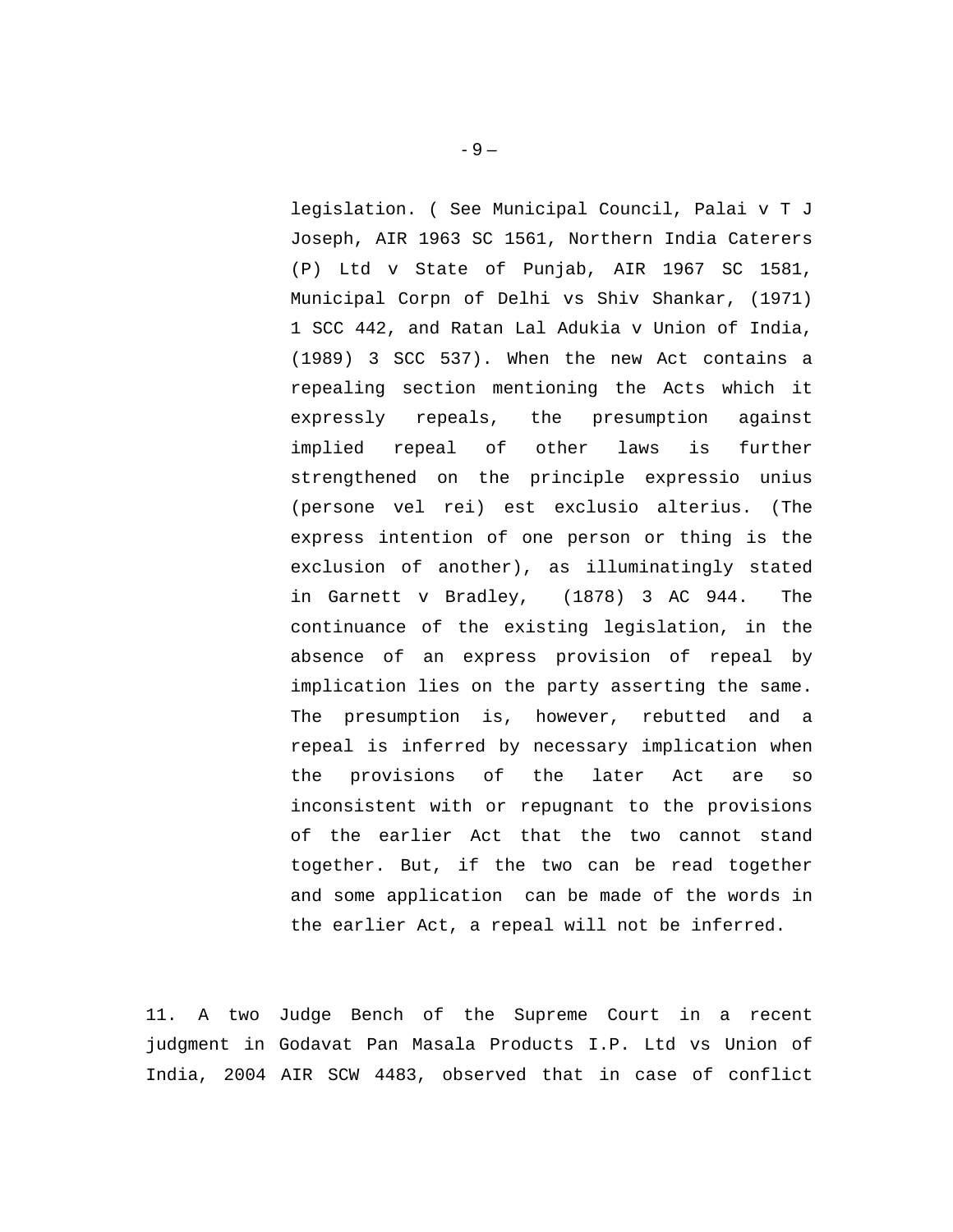legislation. ( See Municipal Council, Palai v T J Joseph, AIR 1963 SC 1561, Northern India Caterers (P) Ltd v State of Punjab, AIR 1967 SC 1581, Municipal Corpn of Delhi vs Shiv Shankar, (1971) 1 SCC 442, and Ratan Lal Adukia v Union of India, (1989) 3 SCC 537). When the new Act contains a repealing section mentioning the Acts which it expressly repeals, the presumption against implied repeal of other laws is further strengthened on the principle expressio unius (persone vel rei) est exclusio alterius. (The express intention of one person or thing is the exclusion of another), as illuminatingly stated in Garnett v Bradley, (1878) 3 AC 944. The continuance of the existing legislation, in the absence of an express provision of repeal by implication lies on the party asserting the same. The presumption is, however, rebutted and a repeal is inferred by necessary implication when the provisions of the later Act are so inconsistent with or repugnant to the provisions of the earlier Act that the two cannot stand together. But, if the two can be read together and some application can be made of the words in the earlier Act, a repeal will not be inferred.

11. A two Judge Bench of the Supreme Court in a recent judgment in Godavat Pan Masala Products I.P. Ltd vs Union of India, 2004 AIR SCW 4483, observed that in case of conflict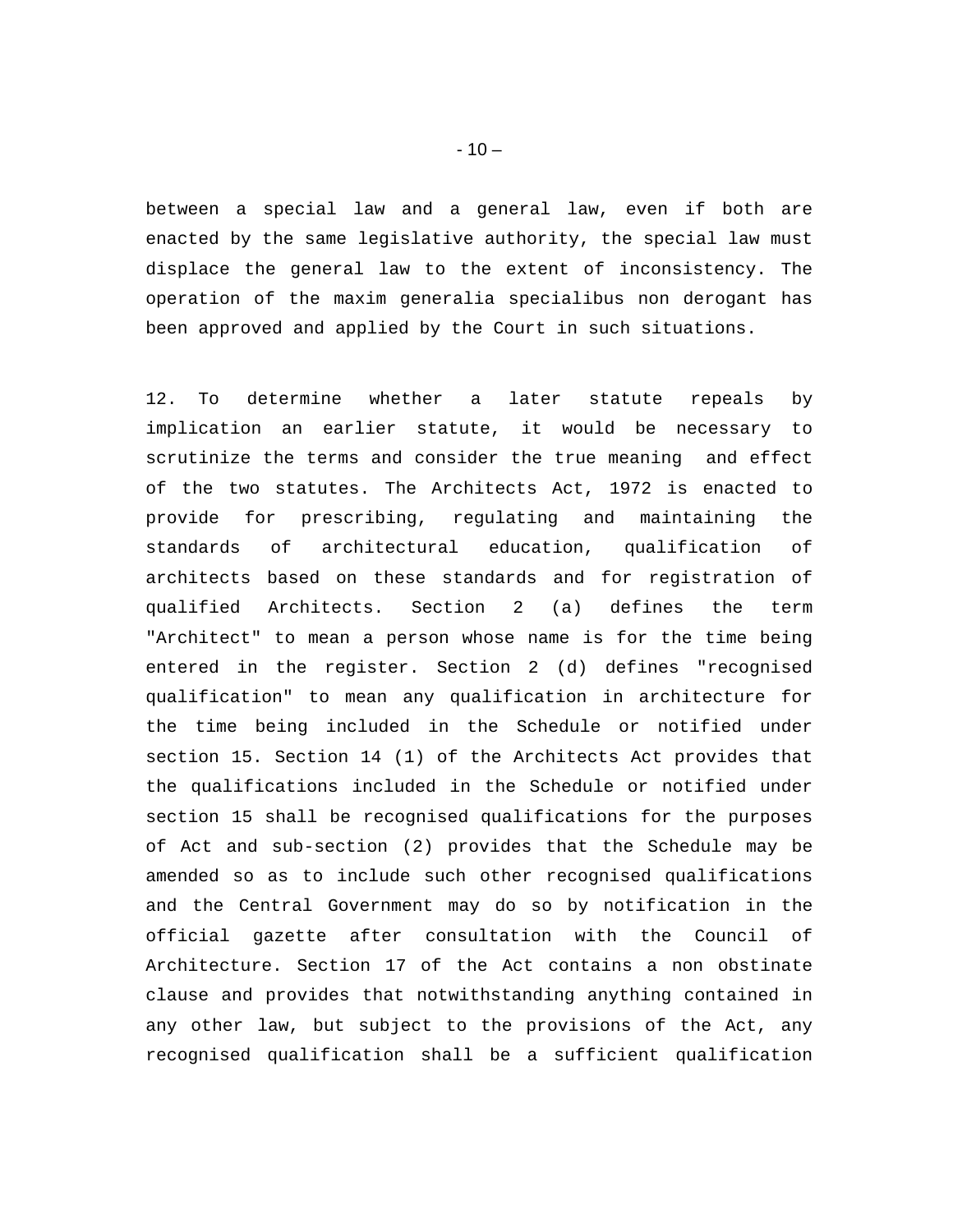between a special law and a general law, even if both are enacted by the same legislative authority, the special law must displace the general law to the extent of inconsistency. The operation of the maxim generalia specialibus non derogant has been approved and applied by the Court in such situations.

12. To determine whether a later statute repeals by implication an earlier statute, it would be necessary to scrutinize the terms and consider the true meaning and effect of the two statutes. The Architects Act, 1972 is enacted to provide for prescribing, regulating and maintaining the standards of architectural education, qualification of architects based on these standards and for registration of qualified Architects. Section 2 (a) defines the term "Architect" to mean a person whose name is for the time being entered in the register. Section 2 (d) defines "recognised qualification" to mean any qualification in architecture for the time being included in the Schedule or notified under section 15. Section 14 (1) of the Architects Act provides that the qualifications included in the Schedule or notified under section 15 shall be recognised qualifications for the purposes of Act and sub-section (2) provides that the Schedule may be amended so as to include such other recognised qualifications and the Central Government may do so by notification in the official gazette after consultation with the Council of Architecture. Section 17 of the Act contains a non obstinate clause and provides that notwithstanding anything contained in any other law, but subject to the provisions of the Act, any recognised qualification shall be a sufficient qualification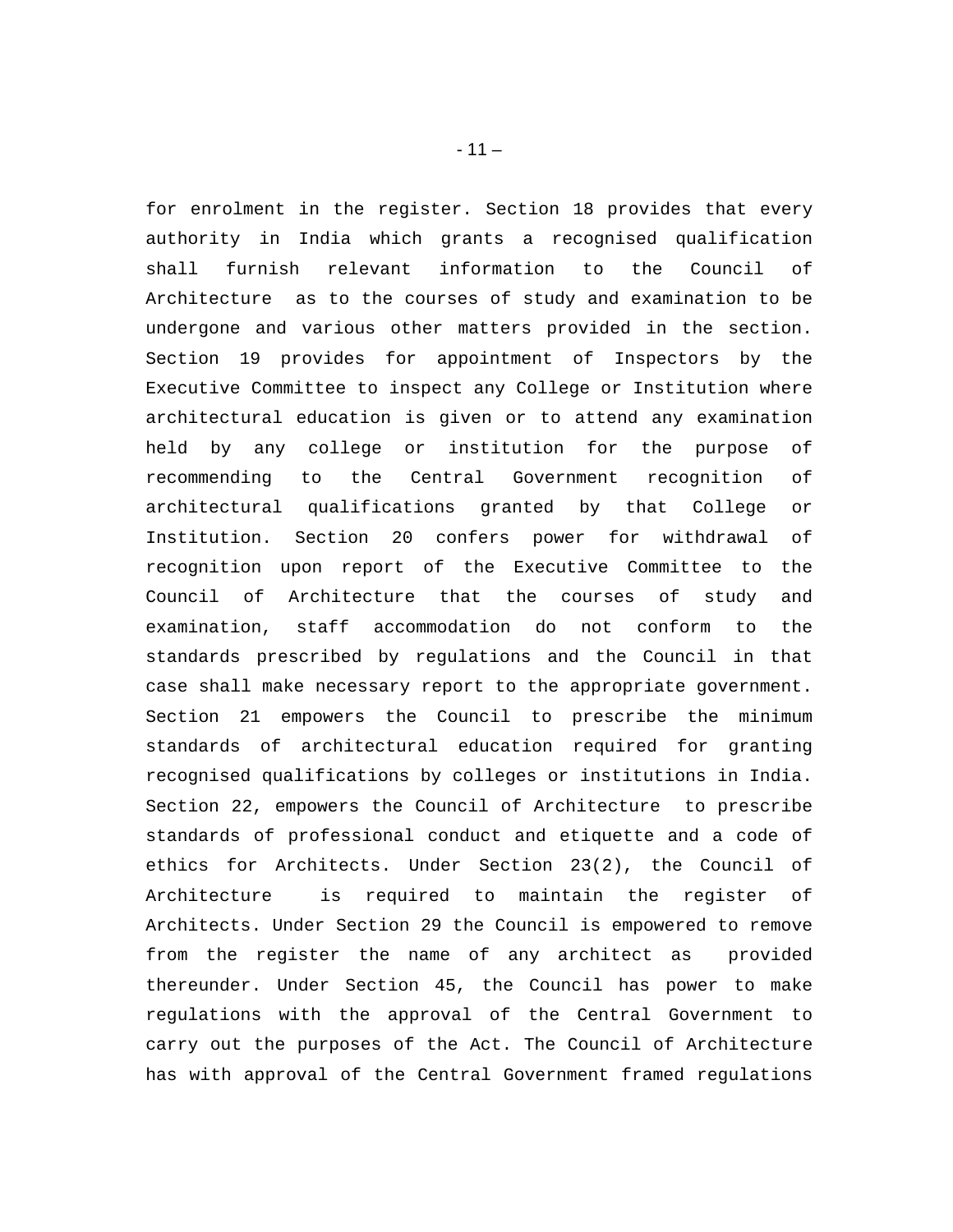for enrolment in the register. Section 18 provides that every authority in India which grants a recognised qualification shall furnish relevant information to the Council of Architecture as to the courses of study and examination to be undergone and various other matters provided in the section. Section 19 provides for appointment of Inspectors by the Executive Committee to inspect any College or Institution where architectural education is given or to attend any examination held by any college or institution for the purpose of recommending to the Central Government recognition of architectural qualifications granted by that College or Institution. Section 20 confers power for withdrawal of recognition upon report of the Executive Committee to the Council of Architecture that the courses of study and examination, staff accommodation do not conform to the standards prescribed by regulations and the Council in that case shall make necessary report to the appropriate government. Section 21 empowers the Council to prescribe the minimum standards of architectural education required for granting recognised qualifications by colleges or institutions in India. Section 22, empowers the Council of Architecture to prescribe standards of professional conduct and etiquette and a code of ethics for Architects. Under Section 23(2), the Council of Architecture is required to maintain the register of Architects. Under Section 29 the Council is empowered to remove from the register the name of any architect as provided thereunder. Under Section 45, the Council has power to make regulations with the approval of the Central Government to carry out the purposes of the Act. The Council of Architecture has with approval of the Central Government framed regulations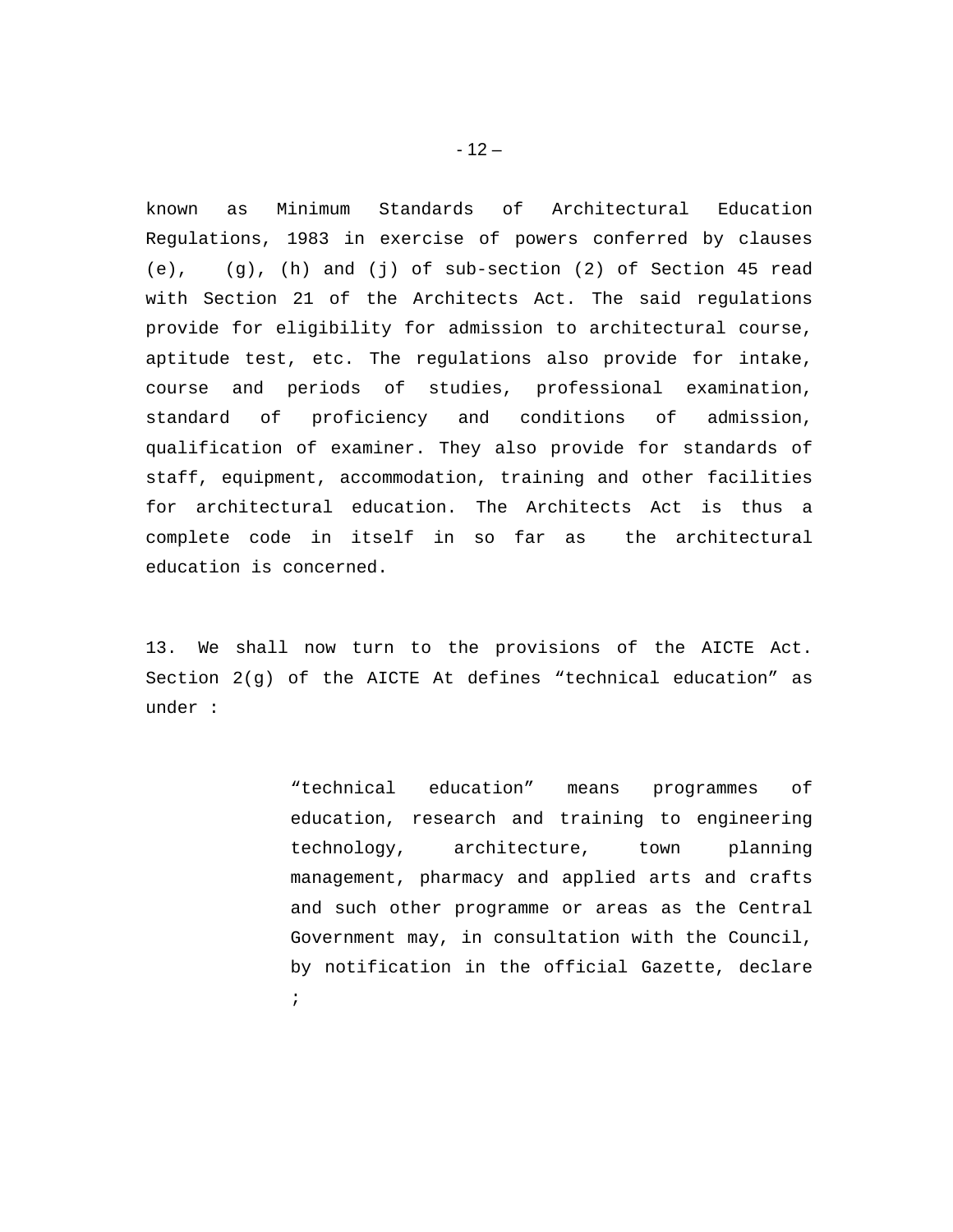known as Minimum Standards of Architectural Education Regulations, 1983 in exercise of powers conferred by clauses (e), (g), (h) and (j) of sub-section (2) of Section 45 read with Section 21 of the Architects Act. The said regulations provide for eligibility for admission to architectural course, aptitude test, etc. The regulations also provide for intake, course and periods of studies, professional examination, standard of proficiency and conditions of admission, qualification of examiner. They also provide for standards of staff, equipment, accommodation, training and other facilities for architectural education. The Architects Act is thus a complete code in itself in so far as the architectural education is concerned.

13. We shall now turn to the provisions of the AICTE Act. Section 2(g) of the AICTE At defines "technical education" as under :

> "technical education" means programmes of education, research and training to engineering technology, architecture, town planning management, pharmacy and applied arts and crafts and such other programme or areas as the Central Government may, in consultation with the Council, by notification in the official Gazette, declare ;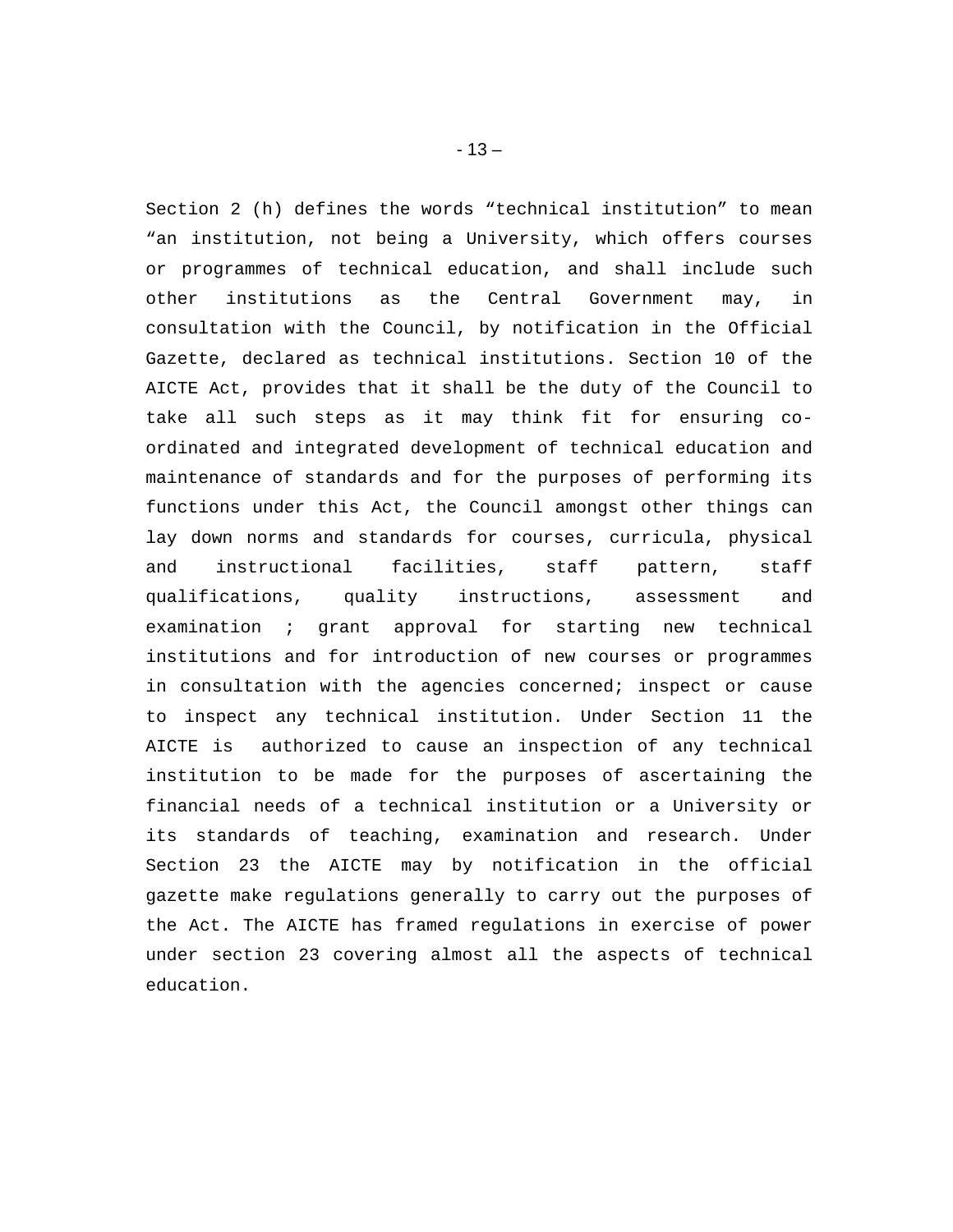Section 2 (h) defines the words "technical institution" to mean "an institution, not being a University, which offers courses or programmes of technical education, and shall include such other institutions as the Central Government may, in consultation with the Council, by notification in the Official Gazette, declared as technical institutions. Section 10 of the AICTE Act, provides that it shall be the duty of the Council to take all such steps as it may think fit for ensuring coordinated and integrated development of technical education and maintenance of standards and for the purposes of performing its functions under this Act, the Council amongst other things can lay down norms and standards for courses, curricula, physical and instructional facilities, staff pattern, staff qualifications, quality instructions, assessment and examination ; grant approval for starting new technical institutions and for introduction of new courses or programmes in consultation with the agencies concerned; inspect or cause to inspect any technical institution. Under Section 11 the AICTE is authorized to cause an inspection of any technical institution to be made for the purposes of ascertaining the financial needs of a technical institution or a University or its standards of teaching, examination and research. Under Section 23 the AICTE may by notification in the official gazette make regulations generally to carry out the purposes of the Act. The AICTE has framed regulations in exercise of power under section 23 covering almost all the aspects of technical education.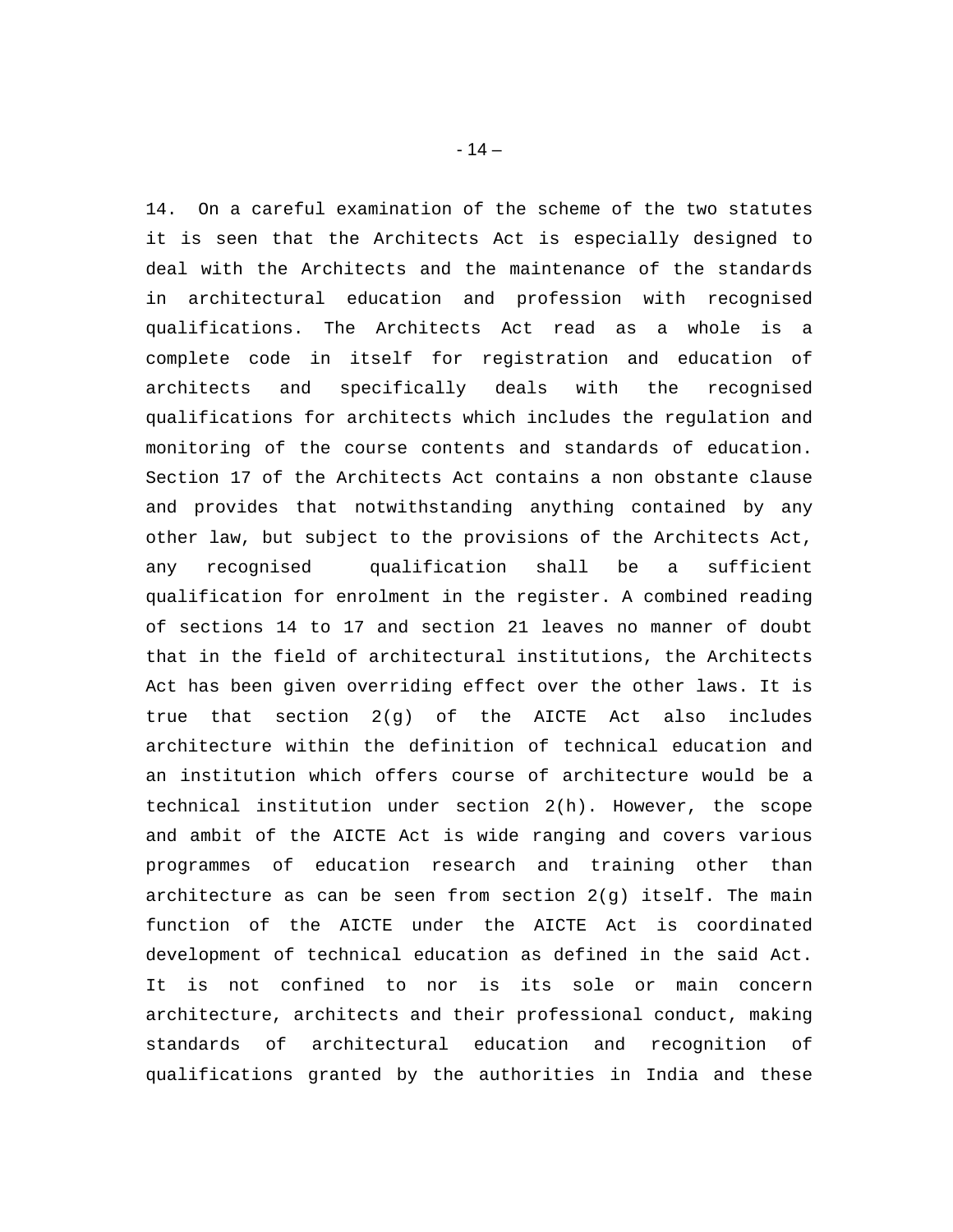14. On a careful examination of the scheme of the two statutes it is seen that the Architects Act is especially designed to deal with the Architects and the maintenance of the standards in architectural education and profession with recognised qualifications. The Architects Act read as a whole is a complete code in itself for registration and education of architects and specifically deals with the recognised qualifications for architects which includes the regulation and monitoring of the course contents and standards of education. Section 17 of the Architects Act contains a non obstante clause and provides that notwithstanding anything contained by any other law, but subject to the provisions of the Architects Act, any recognised qualification shall be a sufficient qualification for enrolment in the register. A combined reading of sections 14 to 17 and section 21 leaves no manner of doubt that in the field of architectural institutions, the Architects Act has been given overriding effect over the other laws. It is true that section  $2(q)$  of the AICTE Act also includes architecture within the definition of technical education and an institution which offers course of architecture would be a technical institution under section 2(h). However, the scope and ambit of the AICTE Act is wide ranging and covers various programmes of education research and training other than architecture as can be seen from section  $2(q)$  itself. The main function of the AICTE under the AICTE Act is coordinated development of technical education as defined in the said Act. It is not confined to nor is its sole or main concern architecture, architects and their professional conduct, making standards of architectural education and recognition of qualifications granted by the authorities in India and these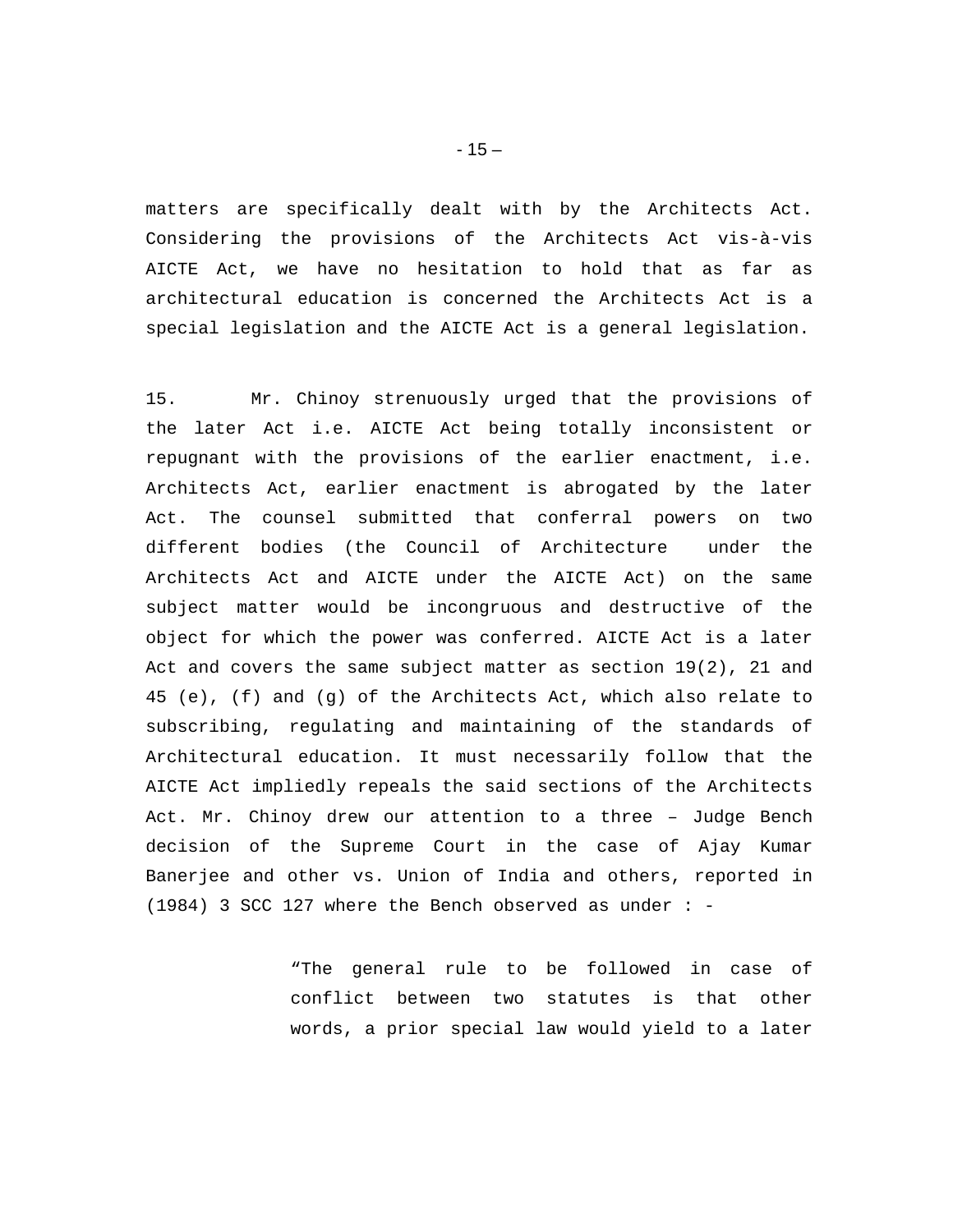matters are specifically dealt with by the Architects Act. Considering the provisions of the Architects Act vis-à-vis AICTE Act, we have no hesitation to hold that as far as architectural education is concerned the Architects Act is a special legislation and the AICTE Act is a general legislation.

15. Mr. Chinoy strenuously urged that the provisions of the later Act i.e. AICTE Act being totally inconsistent or repugnant with the provisions of the earlier enactment, i.e. Architects Act, earlier enactment is abrogated by the later Act. The counsel submitted that conferral powers on two different bodies (the Council of Architecture under the Architects Act and AICTE under the AICTE Act) on the same subject matter would be incongruous and destructive of the object for which the power was conferred. AICTE Act is a later Act and covers the same subject matter as section 19(2), 21 and 45 (e), (f) and (g) of the Architects Act, which also relate to subscribing, regulating and maintaining of the standards of Architectural education. It must necessarily follow that the AICTE Act impliedly repeals the said sections of the Architects Act. Mr. Chinoy drew our attention to a three – Judge Bench decision of the Supreme Court in the case of Ajay Kumar Banerjee and other vs. Union of India and others, reported in (1984) 3 SCC 127 where the Bench observed as under : -

> "The general rule to be followed in case of conflict between two statutes is that other words, a prior special law would yield to a later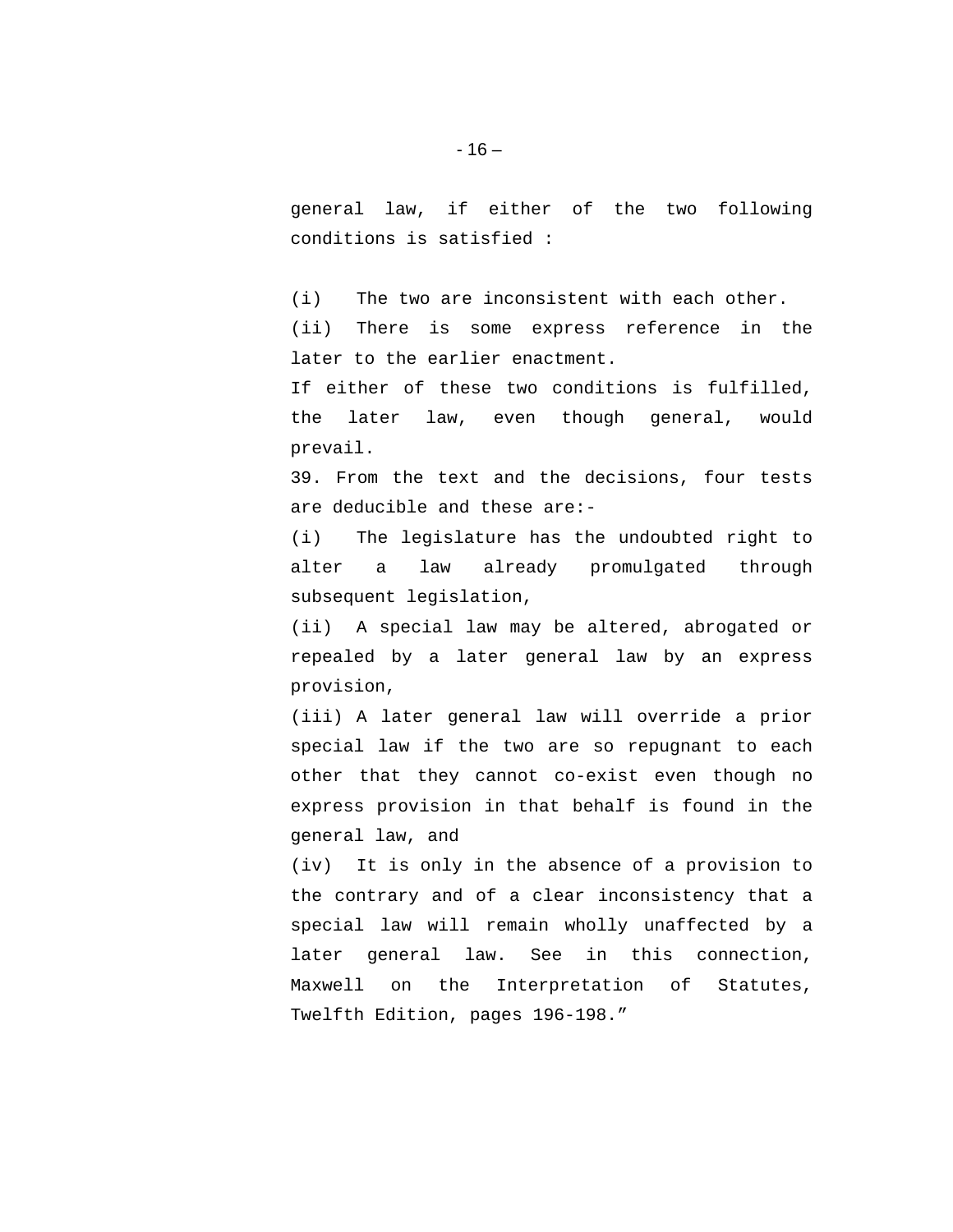general law, if either of the two following conditions is satisfied :

(i) The two are inconsistent with each other. (ii) There is some express reference in the later to the earlier enactment.

If either of these two conditions is fulfilled, the later law, even though general, would prevail.

39. From the text and the decisions, four tests are deducible and these are:-

(i) The legislature has the undoubted right to alter a law already promulgated through subsequent legislation,

(ii) A special law may be altered, abrogated or repealed by a later general law by an express provision,

(iii) A later general law will override a prior special law if the two are so repugnant to each other that they cannot co-exist even though no express provision in that behalf is found in the general law, and

(iv) It is only in the absence of a provision to the contrary and of a clear inconsistency that a special law will remain wholly unaffected by a later general law. See in this connection, Maxwell on the Interpretation of Statutes, Twelfth Edition, pages 196-198."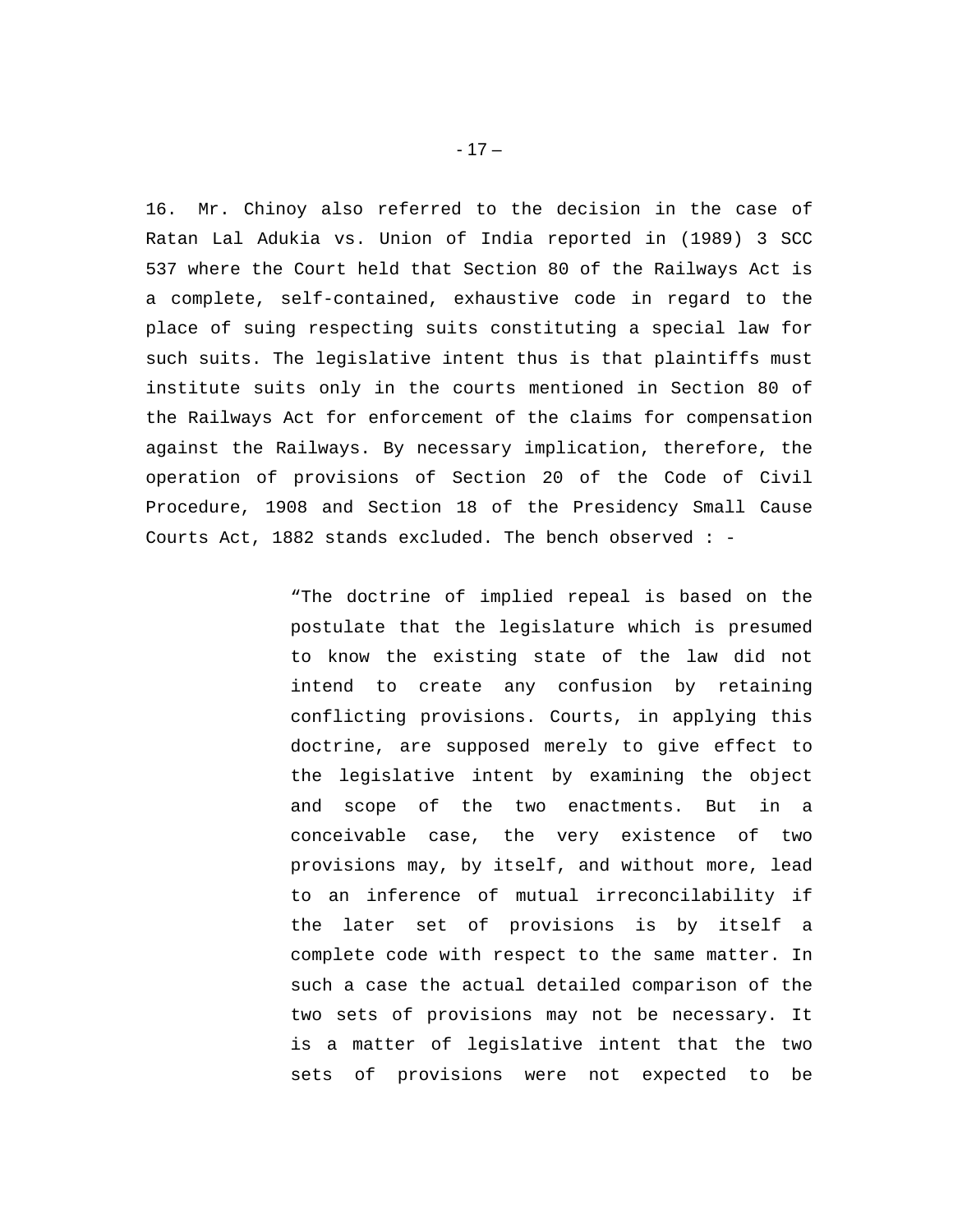16. Mr. Chinoy also referred to the decision in the case of Ratan Lal Adukia vs. Union of India reported in (1989) 3 SCC 537 where the Court held that Section 80 of the Railways Act is a complete, self-contained, exhaustive code in regard to the place of suing respecting suits constituting a special law for such suits. The legislative intent thus is that plaintiffs must institute suits only in the courts mentioned in Section 80 of the Railways Act for enforcement of the claims for compensation against the Railways. By necessary implication, therefore, the operation of provisions of Section 20 of the Code of Civil Procedure, 1908 and Section 18 of the Presidency Small Cause Courts Act, 1882 stands excluded. The bench observed : -

> "The doctrine of implied repeal is based on the postulate that the legislature which is presumed to know the existing state of the law did not intend to create any confusion by retaining conflicting provisions. Courts, in applying this doctrine, are supposed merely to give effect to the legislative intent by examining the object and scope of the two enactments. But in a conceivable case, the very existence of two provisions may, by itself, and without more, lead to an inference of mutual irreconcilability if the later set of provisions is by itself a complete code with respect to the same matter. In such a case the actual detailed comparison of the two sets of provisions may not be necessary. It is a matter of legislative intent that the two sets of provisions were not expected to be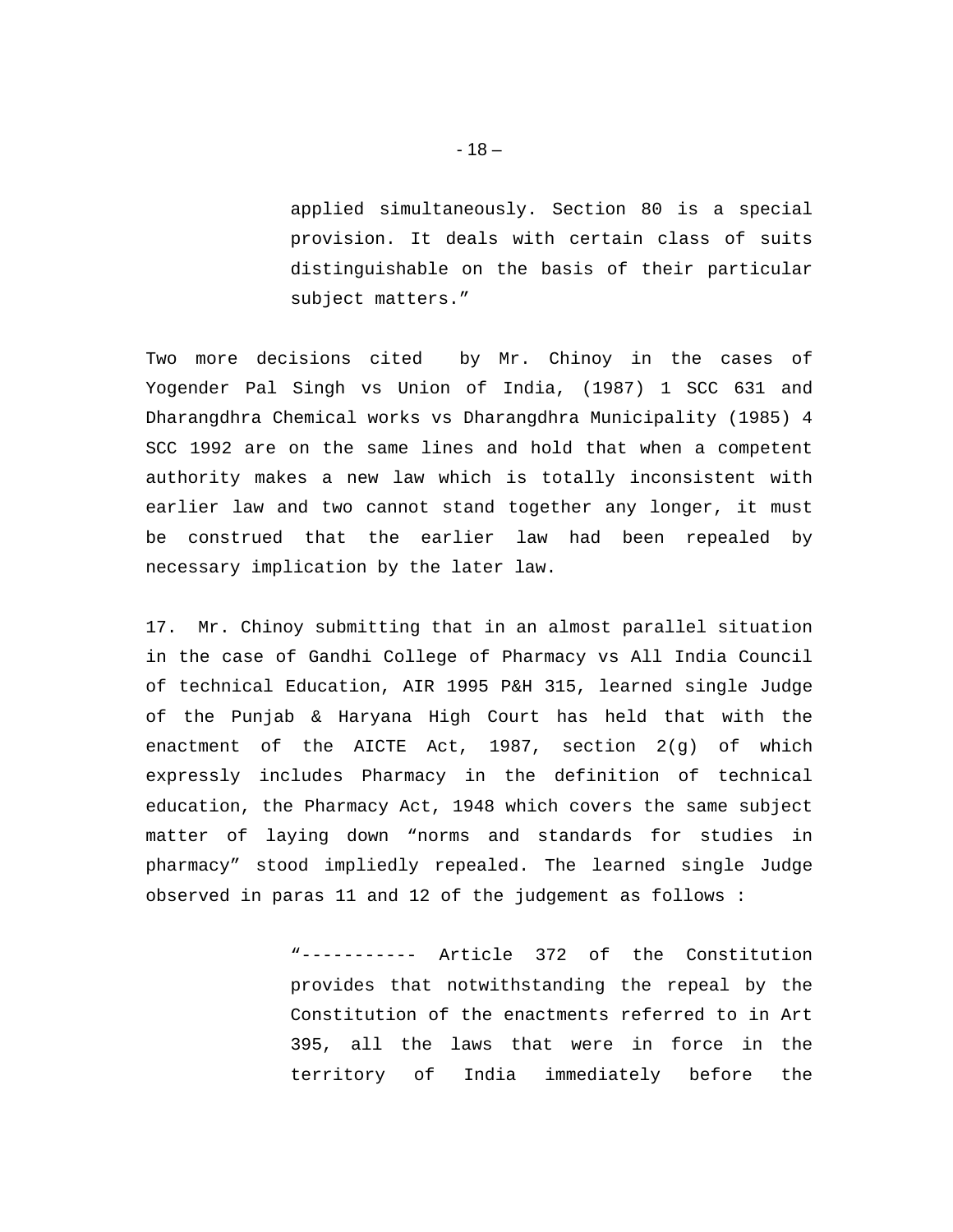applied simultaneously. Section 80 is a special provision. It deals with certain class of suits distinguishable on the basis of their particular subject matters."

Two more decisions cited by Mr. Chinoy in the cases of Yogender Pal Singh vs Union of India, (1987) 1 SCC 631 and Dharangdhra Chemical works vs Dharangdhra Municipality (1985) 4 SCC 1992 are on the same lines and hold that when a competent authority makes a new law which is totally inconsistent with earlier law and two cannot stand together any longer, it must be construed that the earlier law had been repealed by necessary implication by the later law.

17. Mr. Chinoy submitting that in an almost parallel situation in the case of Gandhi College of Pharmacy vs All India Council of technical Education, AIR 1995 P&H 315, learned single Judge of the Punjab & Haryana High Court has held that with the enactment of the AICTE Act, 1987, section 2(g) of which expressly includes Pharmacy in the definition of technical education, the Pharmacy Act, 1948 which covers the same subject matter of laying down "norms and standards for studies in pharmacy" stood impliedly repealed. The learned single Judge observed in paras 11 and 12 of the judgement as follows :

> "----------- Article 372 of the Constitution provides that notwithstanding the repeal by the Constitution of the enactments referred to in Art 395, all the laws that were in force in the territory of India immediately before the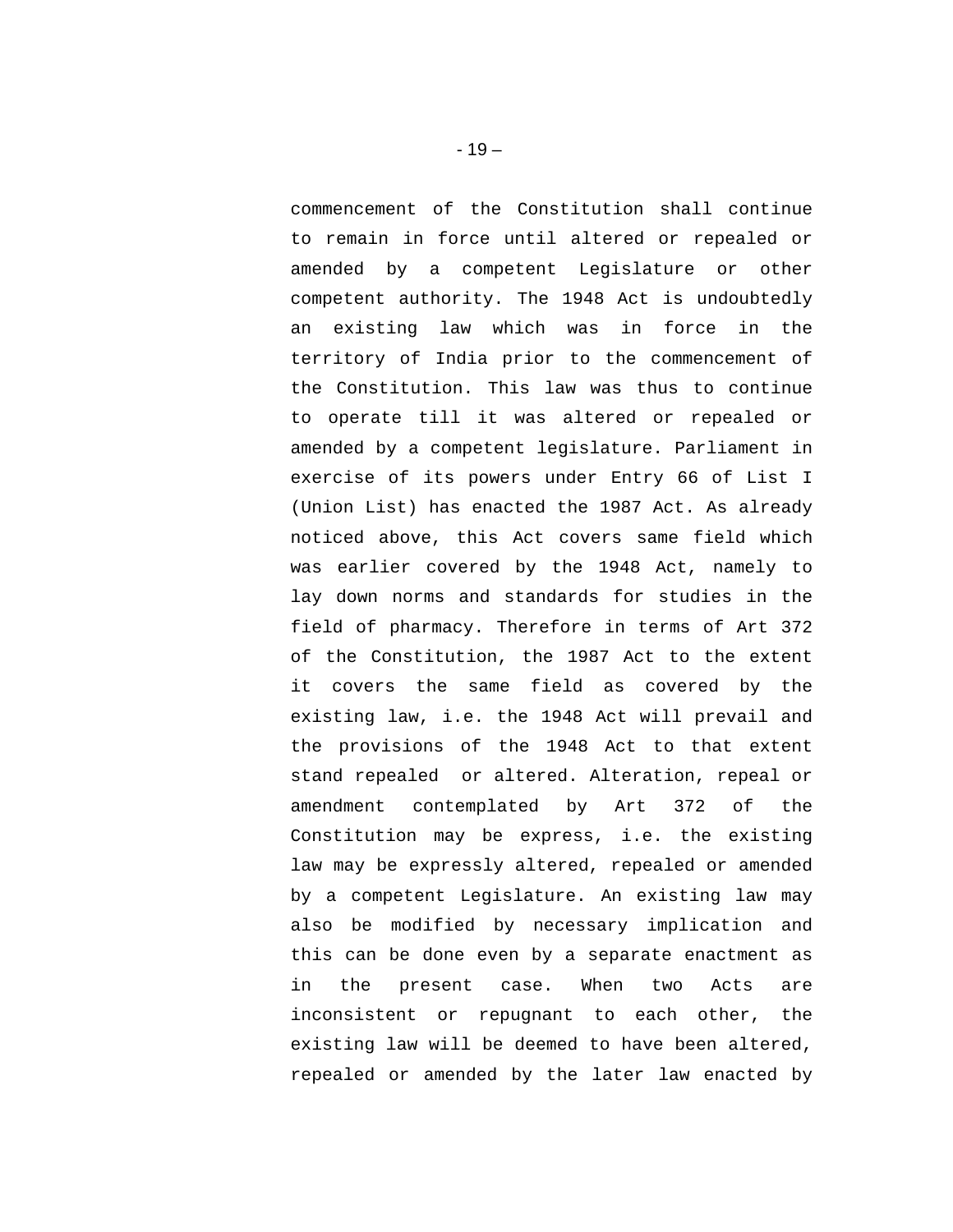commencement of the Constitution shall continue to remain in force until altered or repealed or amended by a competent Legislature or other competent authority. The 1948 Act is undoubtedly an existing law which was in force in the territory of India prior to the commencement of the Constitution. This law was thus to continue to operate till it was altered or repealed or amended by a competent legislature. Parliament in exercise of its powers under Entry 66 of List I (Union List) has enacted the 1987 Act. As already noticed above, this Act covers same field which was earlier covered by the 1948 Act, namely to lay down norms and standards for studies in the field of pharmacy. Therefore in terms of Art 372 of the Constitution, the 1987 Act to the extent it covers the same field as covered by the existing law, i.e. the 1948 Act will prevail and the provisions of the 1948 Act to that extent stand repealed or altered. Alteration, repeal or amendment contemplated by Art 372 of the Constitution may be express, i.e. the existing law may be expressly altered, repealed or amended by a competent Legislature. An existing law may also be modified by necessary implication and this can be done even by a separate enactment as in the present case. When two Acts are inconsistent or repugnant to each other, the existing law will be deemed to have been altered, repealed or amended by the later law enacted by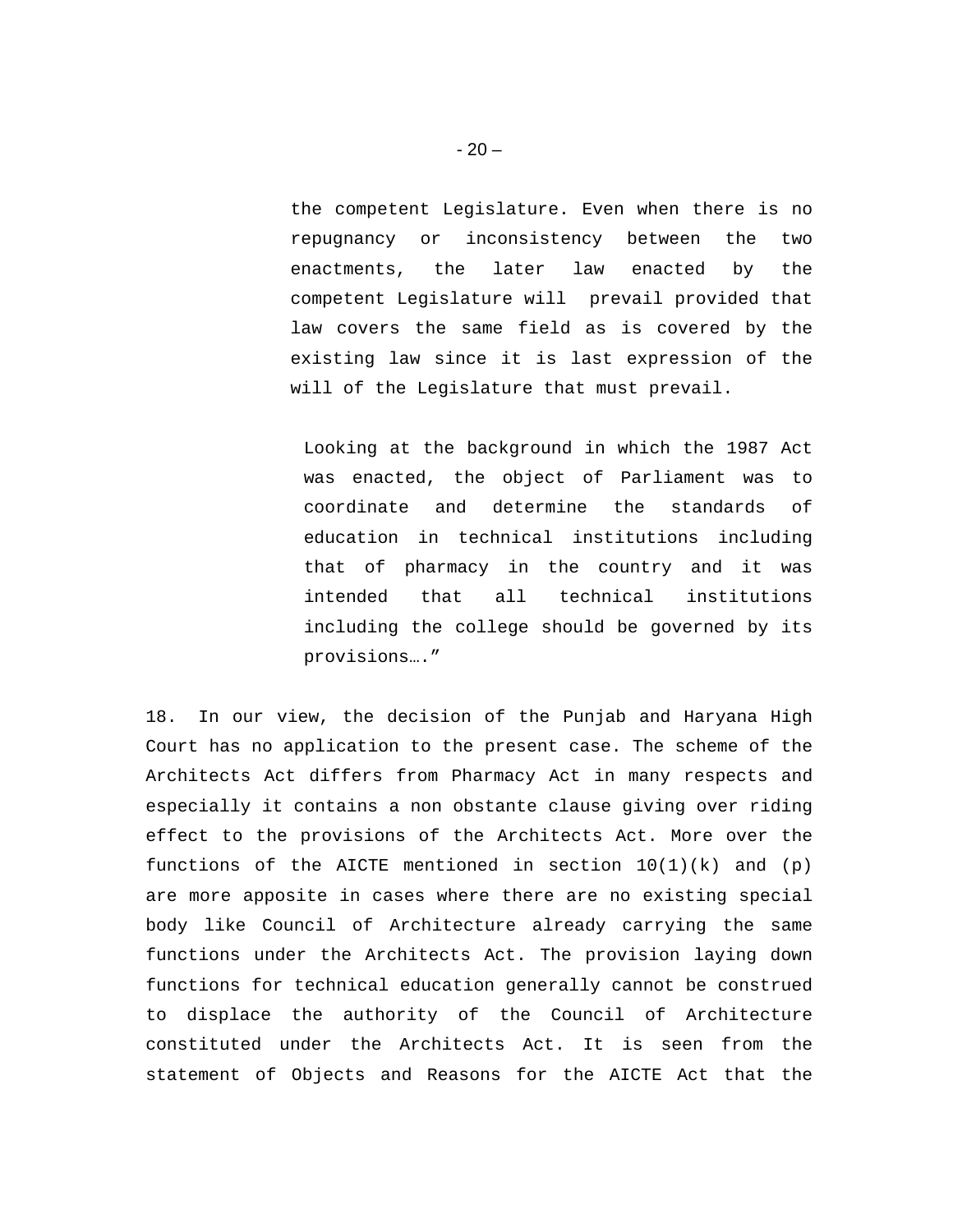the competent Legislature. Even when there is no repugnancy or inconsistency between the two enactments, the later law enacted by the competent Legislature will prevail provided that law covers the same field as is covered by the existing law since it is last expression of the will of the Legislature that must prevail.

Looking at the background in which the 1987 Act was enacted, the object of Parliament was to coordinate and determine the standards of education in technical institutions including that of pharmacy in the country and it was intended that all technical institutions including the college should be governed by its provisions…."

18. In our view, the decision of the Punjab and Haryana High Court has no application to the present case. The scheme of the Architects Act differs from Pharmacy Act in many respects and especially it contains a non obstante clause giving over riding effect to the provisions of the Architects Act. More over the functions of the AICTE mentioned in section  $10(1)(k)$  and  $(p)$ are more apposite in cases where there are no existing special body like Council of Architecture already carrying the same functions under the Architects Act. The provision laying down functions for technical education generally cannot be construed to displace the authority of the Council of Architecture constituted under the Architects Act. It is seen from the statement of Objects and Reasons for the AICTE Act that the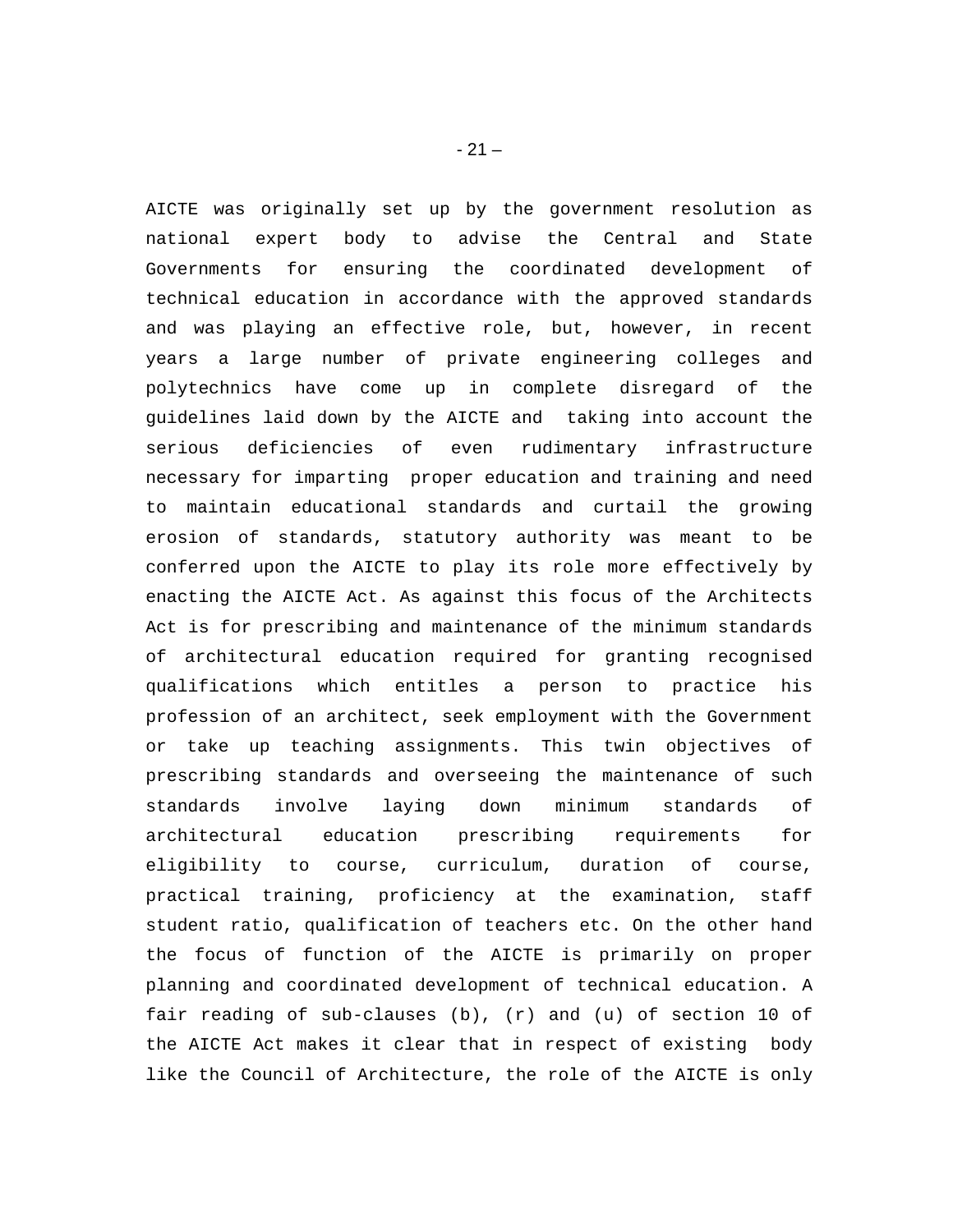AICTE was originally set up by the government resolution as national expert body to advise the Central and State Governments for ensuring the coordinated development of technical education in accordance with the approved standards and was playing an effective role, but, however, in recent years a large number of private engineering colleges and polytechnics have come up in complete disregard of the guidelines laid down by the AICTE and taking into account the serious deficiencies of even rudimentary infrastructure necessary for imparting proper education and training and need to maintain educational standards and curtail the growing erosion of standards, statutory authority was meant to be conferred upon the AICTE to play its role more effectively by enacting the AICTE Act. As against this focus of the Architects Act is for prescribing and maintenance of the minimum standards of architectural education required for granting recognised qualifications which entitles a person to practice his profession of an architect, seek employment with the Government or take up teaching assignments. This twin objectives of prescribing standards and overseeing the maintenance of such standards involve laying down minimum standards of architectural education prescribing requirements for eligibility to course, curriculum, duration of course, practical training, proficiency at the examination, staff student ratio, qualification of teachers etc. On the other hand the focus of function of the AICTE is primarily on proper planning and coordinated development of technical education. A fair reading of sub-clauses (b), (r) and (u) of section 10 of the AICTE Act makes it clear that in respect of existing body like the Council of Architecture, the role of the AICTE is only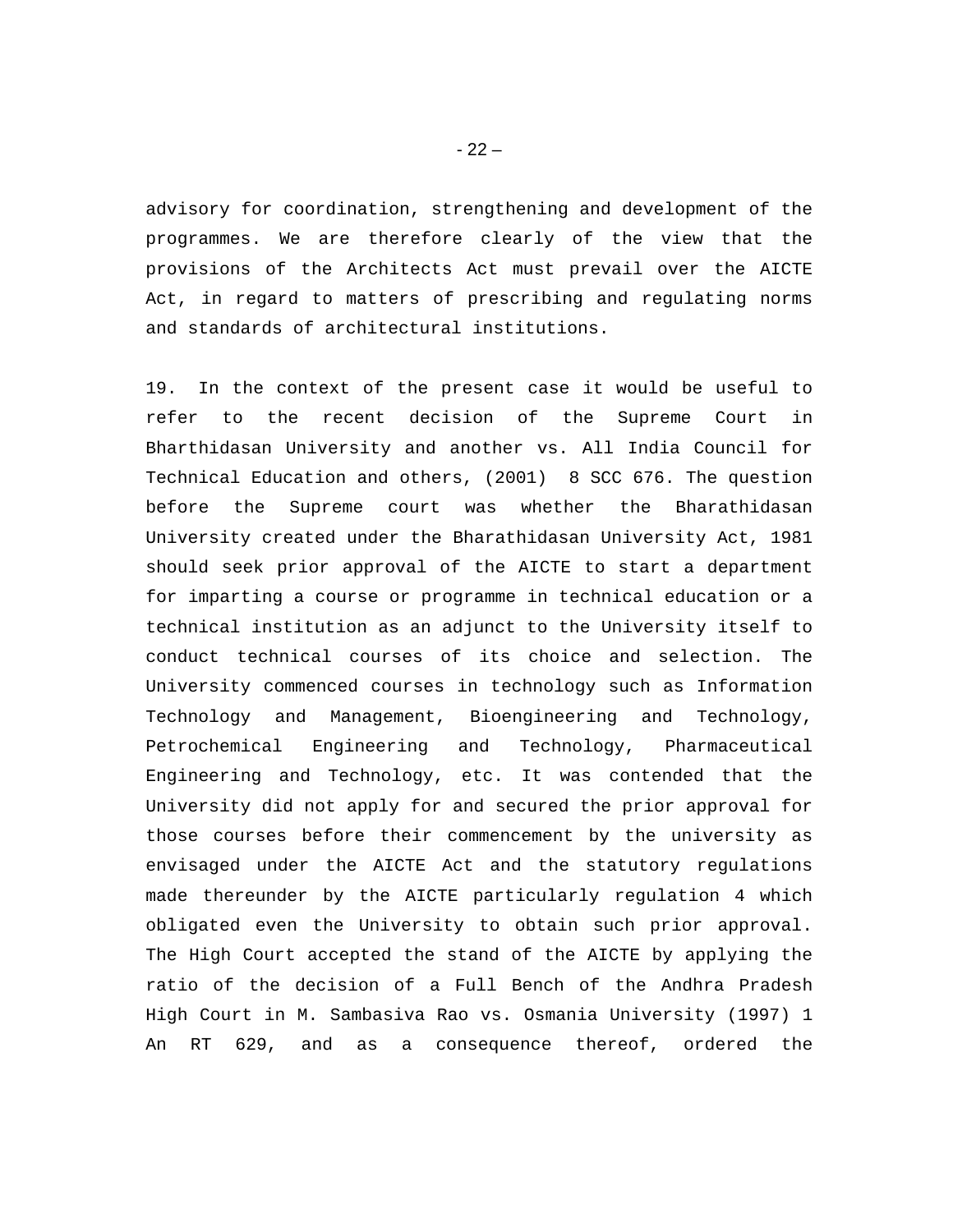advisory for coordination, strengthening and development of the programmes. We are therefore clearly of the view that the provisions of the Architects Act must prevail over the AICTE Act, in regard to matters of prescribing and regulating norms and standards of architectural institutions.

19. In the context of the present case it would be useful to refer to the recent decision of the Supreme Court in Bharthidasan University and another vs. All India Council for Technical Education and others, (2001) 8 SCC 676. The question before the Supreme court was whether the Bharathidasan University created under the Bharathidasan University Act, 1981 should seek prior approval of the AICTE to start a department for imparting a course or programme in technical education or a technical institution as an adjunct to the University itself to conduct technical courses of its choice and selection. The University commenced courses in technology such as Information Technology and Management, Bioengineering and Technology, Petrochemical Engineering and Technology, Pharmaceutical Engineering and Technology, etc. It was contended that the University did not apply for and secured the prior approval for those courses before their commencement by the university as envisaged under the AICTE Act and the statutory regulations made thereunder by the AICTE particularly regulation 4 which obligated even the University to obtain such prior approval. The High Court accepted the stand of the AICTE by applying the ratio of the decision of a Full Bench of the Andhra Pradesh High Court in M. Sambasiva Rao vs. Osmania University (1997) 1 An RT 629, and as a consequence thereof, ordered the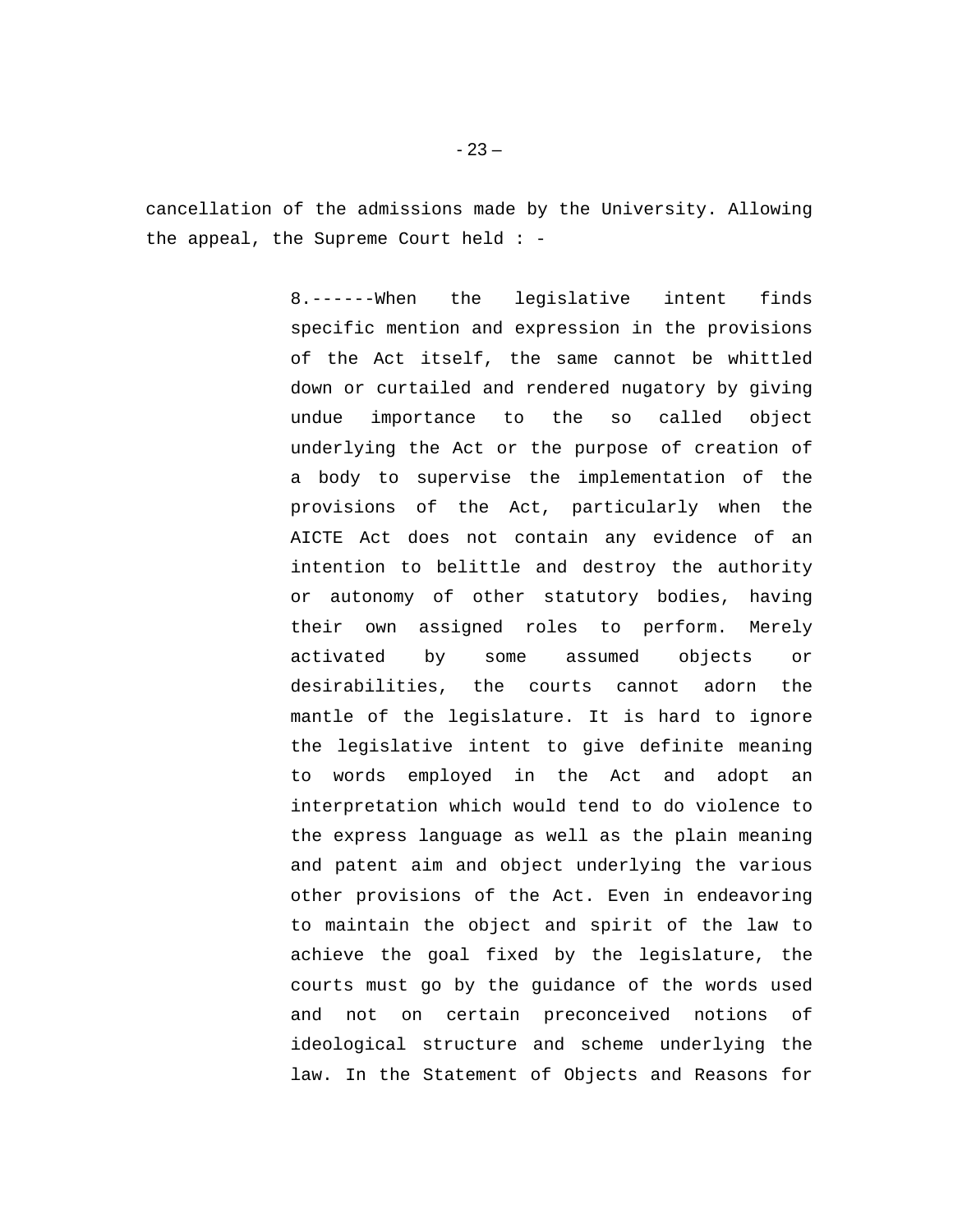cancellation of the admissions made by the University. Allowing the appeal, the Supreme Court held : -

> 8.------When the legislative intent finds specific mention and expression in the provisions of the Act itself, the same cannot be whittled down or curtailed and rendered nugatory by giving undue importance to the so called object underlying the Act or the purpose of creation of a body to supervise the implementation of the provisions of the Act, particularly when the AICTE Act does not contain any evidence of an intention to belittle and destroy the authority or autonomy of other statutory bodies, having their own assigned roles to perform. Merely activated by some assumed objects or desirabilities, the courts cannot adorn the mantle of the legislature. It is hard to ignore the legislative intent to give definite meaning to words employed in the Act and adopt an interpretation which would tend to do violence to the express language as well as the plain meaning and patent aim and object underlying the various other provisions of the Act. Even in endeavoring to maintain the object and spirit of the law to achieve the goal fixed by the legislature, the courts must go by the guidance of the words used and not on certain preconceived notions of ideological structure and scheme underlying the law. In the Statement of Objects and Reasons for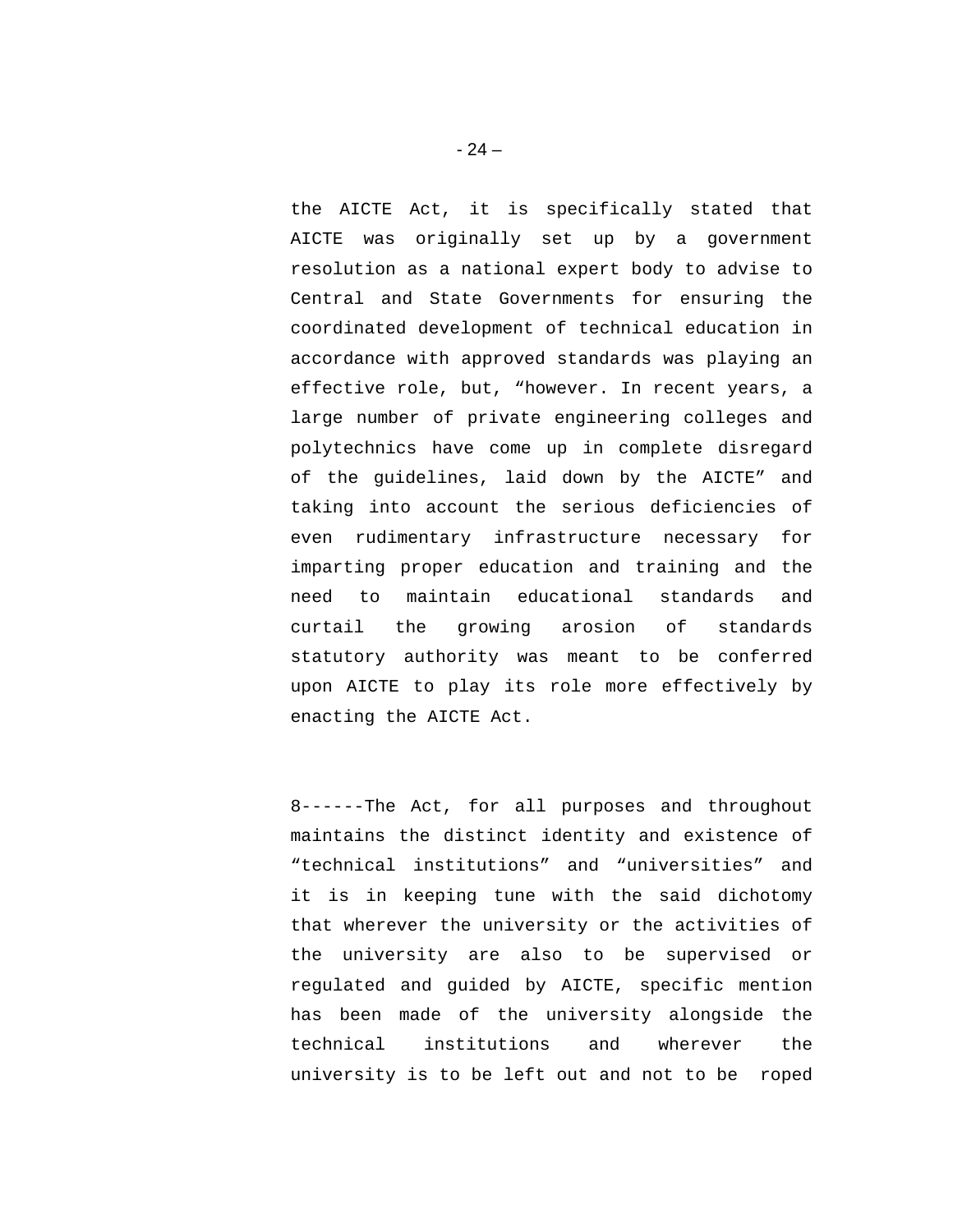the AICTE Act, it is specifically stated that AICTE was originally set up by a government resolution as a national expert body to advise to Central and State Governments for ensuring the coordinated development of technical education in accordance with approved standards was playing an effective role, but, "however. In recent years, a large number of private engineering colleges and polytechnics have come up in complete disregard of the guidelines, laid down by the AICTE" and taking into account the serious deficiencies of even rudimentary infrastructure necessary for imparting proper education and training and the need to maintain educational standards and curtail the growing arosion of standards statutory authority was meant to be conferred upon AICTE to play its role more effectively by enacting the AICTE Act.

8------The Act, for all purposes and throughout maintains the distinct identity and existence of "technical institutions" and "universities" and it is in keeping tune with the said dichotomy that wherever the university or the activities of the university are also to be supervised or regulated and guided by AICTE, specific mention has been made of the university alongside the technical institutions and wherever the university is to be left out and not to be roped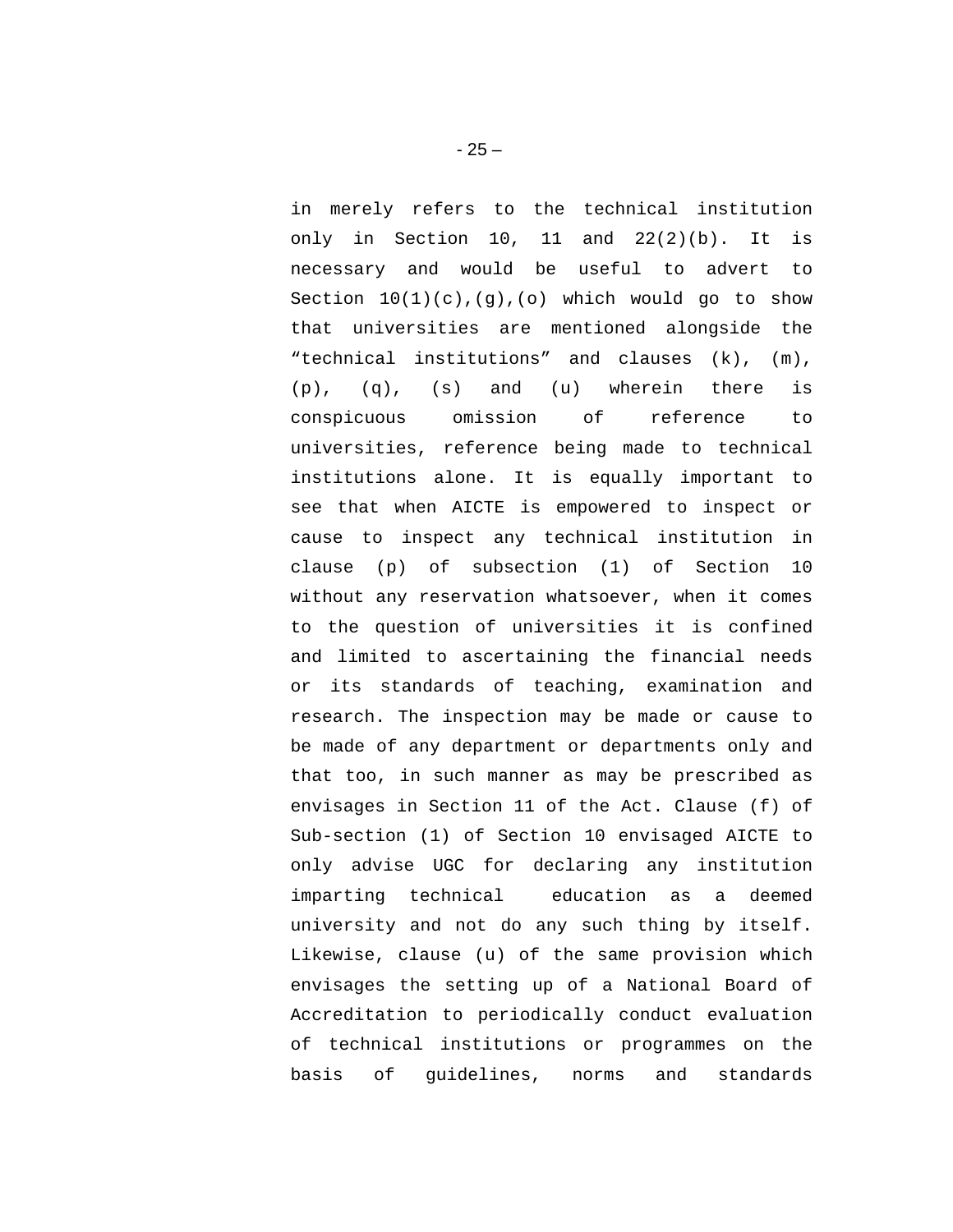in merely refers to the technical institution only in Section 10, 11 and 22(2)(b). It is necessary and would be useful to advert to Section  $10(1)(c)$ ,  $(g)$ ,  $(o)$  which would go to show that universities are mentioned alongside the "technical institutions" and clauses (k), (m), (p), (q), (s) and (u) wherein there is conspicuous omission of reference to universities, reference being made to technical institutions alone. It is equally important to see that when AICTE is empowered to inspect or cause to inspect any technical institution in clause (p) of subsection (1) of Section 10 without any reservation whatsoever, when it comes to the question of universities it is confined and limited to ascertaining the financial needs or its standards of teaching, examination and research. The inspection may be made or cause to be made of any department or departments only and that too, in such manner as may be prescribed as envisages in Section 11 of the Act. Clause (f) of Sub-section (1) of Section 10 envisaged AICTE to only advise UGC for declaring any institution imparting technical education as a deemed university and not do any such thing by itself. Likewise, clause (u) of the same provision which envisages the setting up of a National Board of Accreditation to periodically conduct evaluation of technical institutions or programmes on the basis of guidelines, norms and standards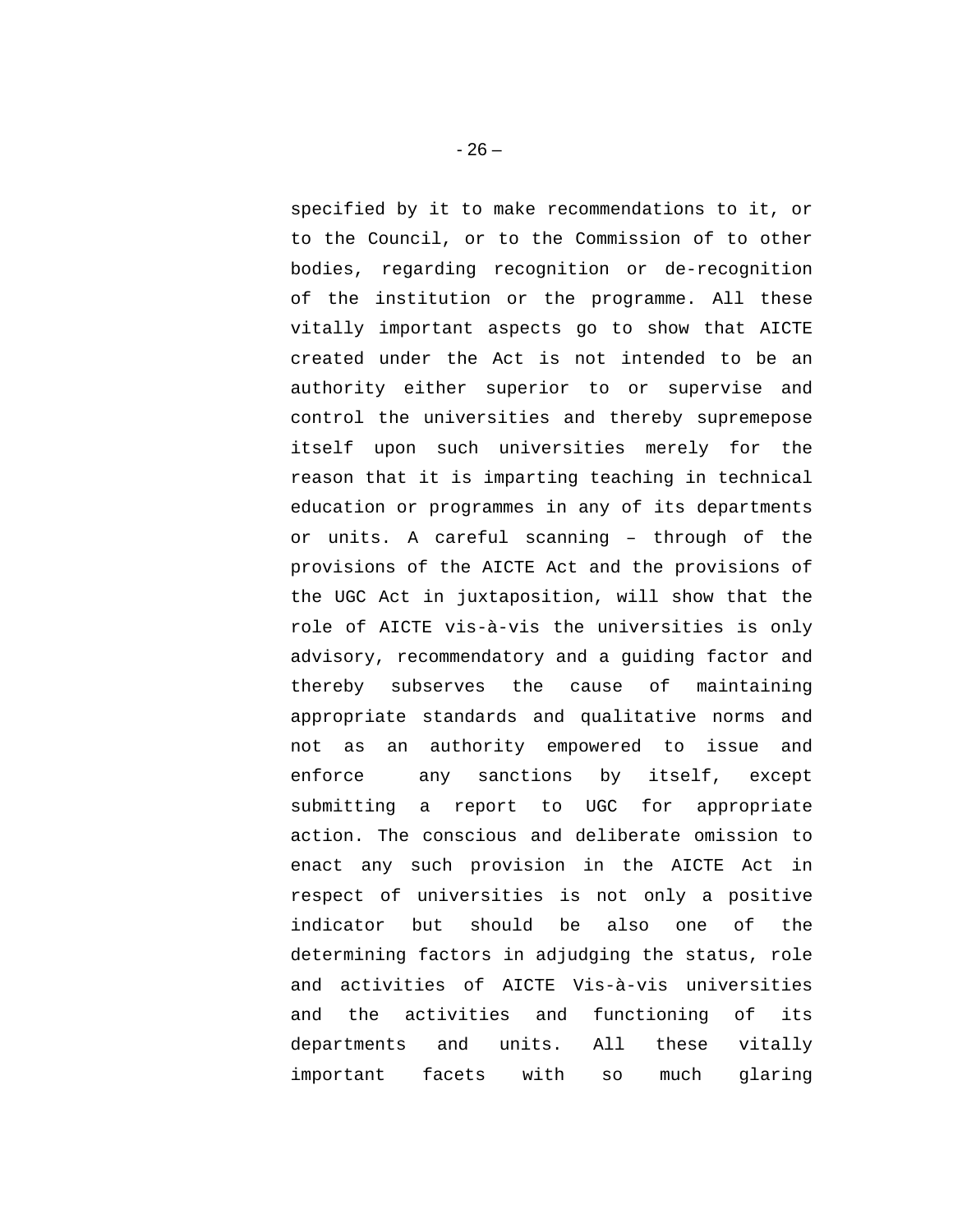specified by it to make recommendations to it, or to the Council, or to the Commission of to other bodies, regarding recognition or de-recognition of the institution or the programme. All these vitally important aspects go to show that AICTE created under the Act is not intended to be an authority either superior to or supervise and control the universities and thereby supremepose itself upon such universities merely for the reason that it is imparting teaching in technical education or programmes in any of its departments or units. A careful scanning – through of the provisions of the AICTE Act and the provisions of the UGC Act in juxtaposition, will show that the role of AICTE vis-à-vis the universities is only advisory, recommendatory and a guiding factor and thereby subserves the cause of maintaining appropriate standards and qualitative norms and not as an authority empowered to issue and enforce any sanctions by itself, except submitting a report to UGC for appropriate action. The conscious and deliberate omission to enact any such provision in the AICTE Act in respect of universities is not only a positive indicator but should be also one of the determining factors in adjudging the status, role and activities of AICTE Vis-à-vis universities and the activities and functioning of its departments and units. All these vitally important facets with so much glaring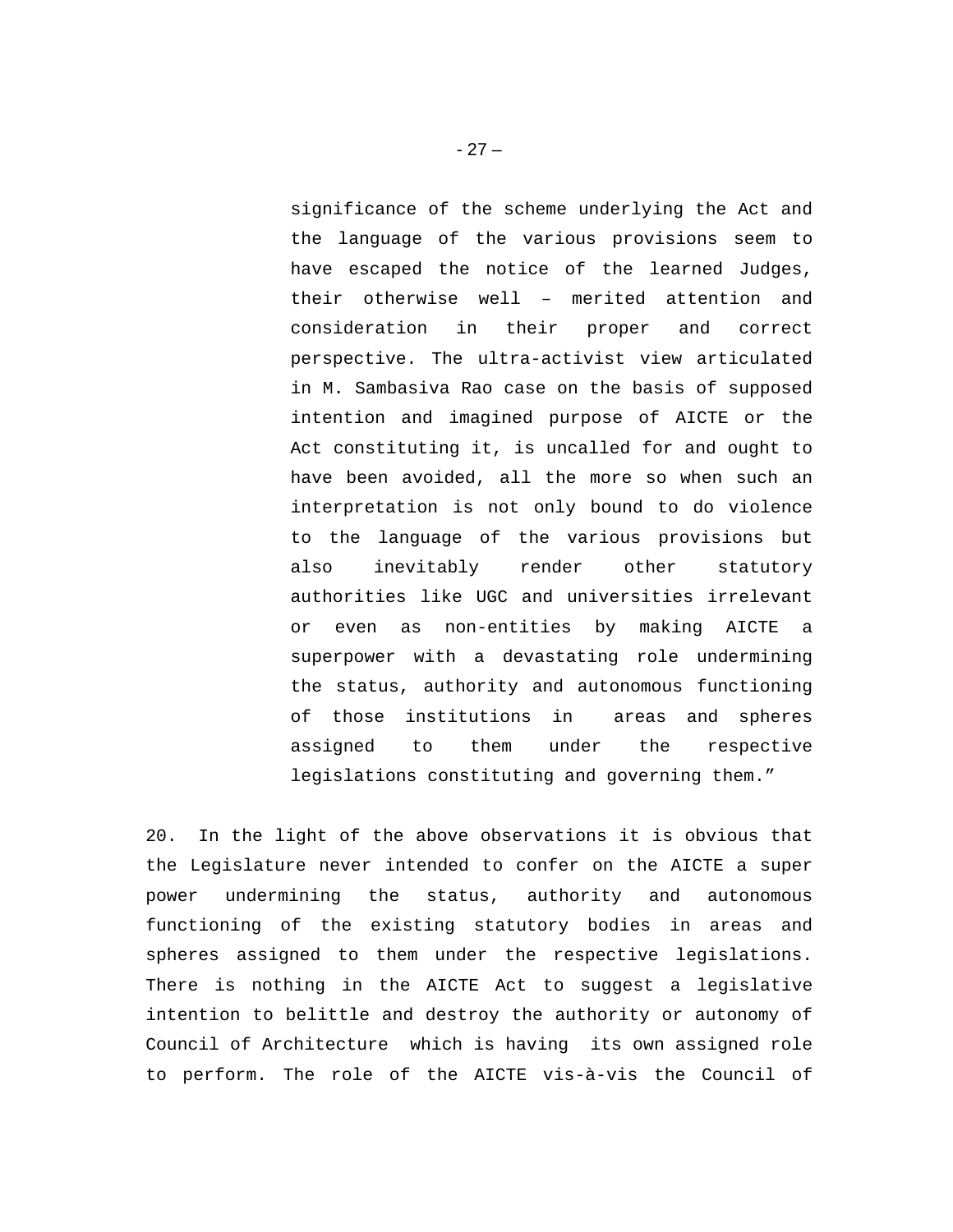significance of the scheme underlying the Act and the language of the various provisions seem to have escaped the notice of the learned Judges, their otherwise well – merited attention and consideration in their proper and correct perspective. The ultra-activist view articulated in M. Sambasiva Rao case on the basis of supposed intention and imagined purpose of AICTE or the Act constituting it, is uncalled for and ought to have been avoided, all the more so when such an interpretation is not only bound to do violence to the language of the various provisions but also inevitably render other statutory authorities like UGC and universities irrelevant or even as non-entities by making AICTE a superpower with a devastating role undermining the status, authority and autonomous functioning of those institutions in areas and spheres assigned to them under the respective legislations constituting and governing them."

20. In the light of the above observations it is obvious that the Legislature never intended to confer on the AICTE a super power undermining the status, authority and autonomous functioning of the existing statutory bodies in areas and spheres assigned to them under the respective legislations. There is nothing in the AICTE Act to suggest a legislative intention to belittle and destroy the authority or autonomy of Council of Architecture which is having its own assigned role to perform. The role of the AICTE vis-à-vis the Council of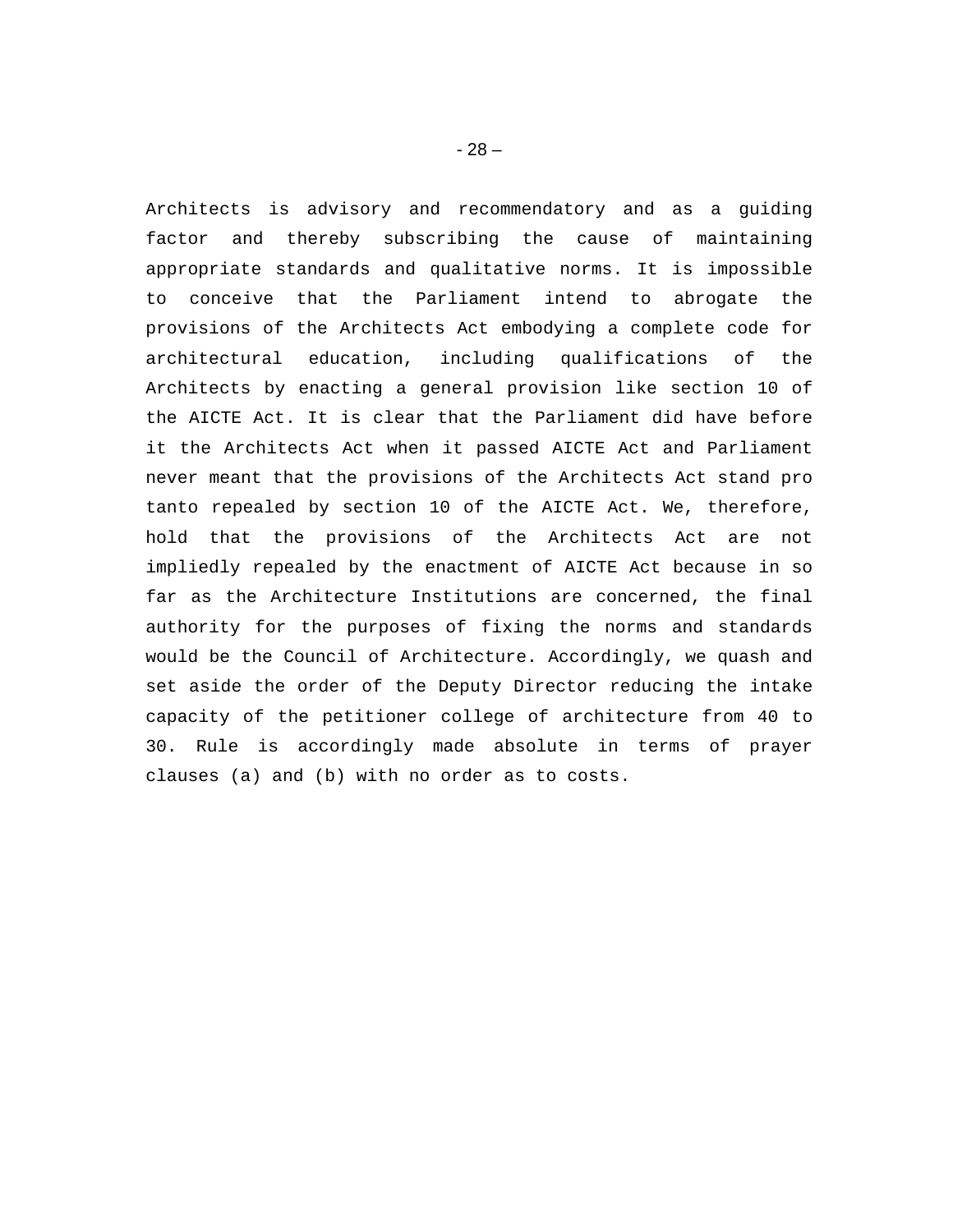Architects is advisory and recommendatory and as a guiding factor and thereby subscribing the cause of maintaining appropriate standards and qualitative norms. It is impossible to conceive that the Parliament intend to abrogate the provisions of the Architects Act embodying a complete code for architectural education, including qualifications of the Architects by enacting a general provision like section 10 of the AICTE Act. It is clear that the Parliament did have before it the Architects Act when it passed AICTE Act and Parliament never meant that the provisions of the Architects Act stand pro tanto repealed by section 10 of the AICTE Act. We, therefore, hold that the provisions of the Architects Act are not impliedly repealed by the enactment of AICTE Act because in so far as the Architecture Institutions are concerned, the final authority for the purposes of fixing the norms and standards would be the Council of Architecture. Accordingly, we quash and set aside the order of the Deputy Director reducing the intake capacity of the petitioner college of architecture from 40 to 30. Rule is accordingly made absolute in terms of prayer clauses (a) and (b) with no order as to costs.